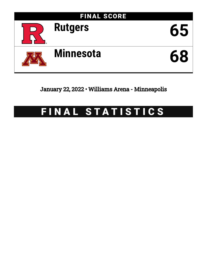

January 22, 2022 • Williams Arena - Minneapolis

# FINAL STATISTICS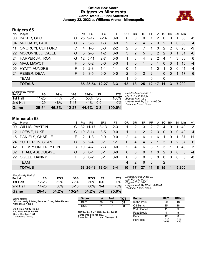# **Official Box Score Rutgers vs Minnesota Game Totals -- Final Statistics January 22, 2022 at Williams Arena - Minneapolis**



# **Rutgers 65**

| No.       | Plaver               | S  | Pts      | FG.      | 3FG            | FТ      | OR             | DR       | TR | PF              |          | A TO          | <b>B</b> lk | Stl      | Min   | $+/-$          |
|-----------|----------------------|----|----------|----------|----------------|---------|----------------|----------|----|-----------------|----------|---------------|-------------|----------|-------|----------------|
| $00\,$    | <b>BAKER, GEO</b>    | G  | 25       | $9 - 17$ | 7-14           | $0-0$   | 0              | 0        | 0  |                 | 2        | 0             | $\Omega$    |          | 33    | -8             |
| 04        | MULCAHY, PAUL        | G  |          | $3-6$    | $1 - 3$        | $0 - 0$ | $\mathcal{P}$  | 2        | 4  | $\overline{2}$  | 9        | $\mathcal{P}$ | $\Omega$    | 0        | -33   | $\overline{4}$ |
| 11        | OMORUYI, CLIFFORD    |    | 4        | $1 - 5$  | $0 - 0$        | $2 - 2$ | $\mathcal{P}$  | 5        |    |                 | $\Omega$ | $\mathcal{P}$ | 2           | $\Omega$ | 23    | -9             |
| <b>22</b> | MCCONNELL, CALEB     | G  | 5        | $2 - 5$  | $1 - 2$        | $0 - 0$ | 3              | 2        | 5  | 3               | 2        | $\mathcal{P}$ | $\Omega$    | 1        | -31   | -6             |
|           | 24 HARPER JR., RON   | G. | 12       | $5 - 11$ | $2 - 7$        | $0 - 0$ |                | 3        | 4  | $\mathcal{P}$   | 2        | 4             |             | 3        | -38   | -6             |
| 03        | MAG, MAWOT           | F. | $\Omega$ | $0 - 2$  | $0 - 0$        | $0 - 0$ |                | $\Omega$ | 1  | $\Omega$        | 1        | $\Omega$      | $\Omega$    |          | 15    | $-4$           |
| 05        | <b>HYATT, AUNDRE</b> | F  | 6        | $2 - 3$  | $1 - 1$        | 1-1     | $\Omega$       | 1        |    | 1               | $\Omega$ | 1             | $\Omega$    | 0        | 11    | $-4$           |
| 21        | <b>REIBER, DEAN</b>  | F. | 6        | $3-5$    | $0 - 0$        | $0 - 0$ | $\overline{2}$ | $\Omega$ | 2  | $\mathcal{P}$   | -1       | $\Omega$      | $\Omega$    | 1.       | - 17  | - 6            |
|           | <b>TEAM</b>          |    |          |          |                |         |                | 0        |    | $\overline{0}$  |          | 0             |             |          |       |                |
|           | <b>TOTALS</b>        |    |          |          | 65 25-54 12-27 | $3 - 3$ | $12 \,$        | 13       | 25 | 12 <sup>1</sup> | 17       | -11           | 3           |          | 7 200 |                |

| <b>Shooting By Period</b><br>Period | FG        | FG%   | 3FG       | 3FG%         | FТ      | FT%       | Deadball Rebounds: 0,0<br>Last $FG: 2nd-00:35$            |
|-------------------------------------|-----------|-------|-----------|--------------|---------|-----------|-----------------------------------------------------------|
| 1st Half                            | $11 - 25$ | 44%   | $5-10$    | 50%          | $3 - 3$ | 100%      | Biggest Run: 12-0                                         |
| 2nd Half                            | 14-29     | 48%   | 7-17      | 41%          | $0 - 0$ | 0%        | Largest lead: By 5 at 1st-06:00<br>Technical Fouls: None. |
| Game                                | $25 - 54$ | 46.3% | $12 - 27$ | $44.4\%$ 3-3 |         | $100.0\%$ |                                                           |

# **Minnesota 68**

| No.              | Player                | S. | <b>Pts</b>    | FG.      | 3FG       | FТ      | 0 <sub>R</sub> | DR             | TR             | <b>PF</b> | A              | TO.      | <b>Blk</b> | Stl      | Min   | $+/-$          |
|------------------|-----------------------|----|---------------|----------|-----------|---------|----------------|----------------|----------------|-----------|----------------|----------|------------|----------|-------|----------------|
| 00               | <b>WILLIS, PAYTON</b> | G  |               | 32 11-17 | $8 - 13$  | $2 - 3$ | 1.             | 2              | 3              | 2         |                | 4        |            |          | 40    | 3              |
| 12 <sup>12</sup> | LOEWE, LUKE           | G  | 19            | $8 - 14$ | $3-5$     | $0 - 0$ |                |                | 2              | 2         | 3              | $\Omega$ | $\Omega$   | 0        | 40    | $\overline{4}$ |
|                  | 15 DANIELS, CHARLIE   | F. | $\mathcal{P}$ | $1 - 3$  | $0 - 0$   | $0 - 0$ | 2              | 4              | 6              | -1        | 6              | 1        | $\Omega$   | 1.       | 37    | 11             |
|                  | 24 SUTHERLIN, SEAN    | G. | 5             | $2 - 4$  | $0 - 1$   | $1 - 1$ | 0              | $\overline{4}$ | $\overline{4}$ | 2         | $\sqrt{1}$     | 3        | $\Omega$   |          | 2 37  | -6             |
|                  | 42 THOMPSON, TREYTON  |    | 10            | $4 - 7$  | $2 - 3$   | $0-0$   | $\overline{2}$ | 4              | 6              | 3         | $\overline{1}$ | 3        |            | 1        | 40    | -3             |
| 02               | THIAM, ABDOULAYE      | G  | $\Omega$      | $0 - 1$  | $0 - 1$   | $0 - 0$ | $\Omega$       | $\Omega$       | $\Omega$       | 1         | $\Omega$       | 2        | $\Omega$   | 0        | 3     | $-4$           |
| <b>22</b>        | OGELE, DANNY          | F. | $\Omega$      | $0 - 2$  | $0 - 1$   | $0 - 0$ | $\Omega$       | $\Omega$       | $\Omega$       | $\Omega$  | $\Omega$       | $\Omega$ | $\Omega$   | $\Omega$ | 3     | -8             |
|                  | <b>TEAM</b>           |    |               |          |           |         | 4              | $\mathcal{P}$  | 6              | 0         |                | 2        |            |          |       |                |
|                  | <b>TOTALS</b>         |    |               | 68 26-48 | $13 - 24$ | $3 - 4$ | 10             | 17             | 27             | -11       | 18             | 15       | 1          |          | 5 200 |                |

| <b>Shooting By Period</b><br>Period | FG        | FG%   | 3FG       | 3FG%  | FT      | FT%   |
|-------------------------------------|-----------|-------|-----------|-------|---------|-------|
| 1st Half                            | $12 - 23$ | 52%   | 7-14      | 50%   | 0-0     | 0%    |
| 2nd Half                            | 14-25     | 56%   | $6 - 10$  | 60%   | $3 - 4$ | 75%   |
| Game                                | 26-48     | 54.2% | $13 - 24$ | 54.2% | $3 - 4$ | 75.0% |

*Deadball Rebounds:* 0,0 *Last FG:* 2nd-00:43 *Biggest Run:* 10-0 *Largest lead:* By 12 at 1st-13:41 *Technical Fouls:* None.

| Game Notes:                                                               | <b>Score</b>                                    | 1st | 2 <sub>nd</sub> | TOT | <b>Points</b>     | <b>RUT</b>     | <b>UMN</b>     |
|---------------------------------------------------------------------------|-------------------------------------------------|-----|-----------------|-----|-------------------|----------------|----------------|
| Officials: Kelly Pfiefer, Brandon Cruz, Brian McNutt<br>Attendance: 10794 | <b>RUT</b>                                      | 30  | 35              | 65  | In the Paint      | 20             | 18             |
|                                                                           | <b>UMN</b>                                      | 31  | 37              | 68  | Off Turns         | 15             | 18             |
| Start Time: 12:02 PM ET                                                   |                                                 |     |                 |     | 2nd Chance        |                |                |
| End Time: 01:56 PM ET<br>Game Duration: 1:54                              | RUT led for 9:42. UMN led for 26:52.            |     |                 |     | <b>Fast Break</b> |                |                |
| Conference Game:                                                          | Game was tied for 3:27.<br>Times tied: <b>4</b> |     | Lead Changes: 8 |     | Bench             |                |                |
|                                                                           |                                                 |     |                 |     | Per Poss          | 1.226<br>26/53 | 1.214<br>28/56 |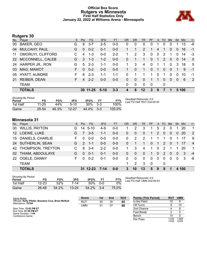# **Official Box Score Rutgers vs Minnesota First Half Statistics Only January 22, 2022 at Williams Arena - Minneapolis**



# **Rutgers 30**

| No.       | Player               | S. | Pts            | FG.      | 3FG     | <b>FT</b> | <b>OR</b> | <b>DR</b>    | <b>TR</b>             | PF       | $\mathsf{A}$ | <b>TO</b>     | <b>Blk</b>   | Stl      | <b>Min</b> | $+/-$          |
|-----------|----------------------|----|----------------|----------|---------|-----------|-----------|--------------|-----------------------|----------|--------------|---------------|--------------|----------|------------|----------------|
| 00        | BAKER, GEO           | G  | 8              | $3 - 7$  | $2 - 5$ | $0 - 0$   | 0         | 0            | 0                     | 0        |              | 0             | 0            |          | 13         | -6             |
| 04        | MULCAHY, PAUL        | G  | $\Omega$       | $0 - 2$  | $0 - 1$ | $0-0$     |           |              | $\mathbf{2}^{\prime}$ |          | 4            |               | 0            | 0        | 16         | $-1$           |
| 11        | OMORUYI, CLIFFORD    | C  | 4              | $1 - 3$  | $0-0$   | $2 - 2$   |           | 2            | 3                     | $\Omega$ | $\mathbf{0}$ | 2             |              | 0        | 14         | -3             |
| <b>22</b> | MCCONNELL, CALEB     | G  | 3              | $1 - 3$  | $1 - 2$ | $0 - 0$   | 0         |              | 1                     | $\Omega$ | $\mathbf{1}$ | $\mathcal{P}$ | $\Omega$     | 0        | 14         | $\mathbf{0}$   |
|           | 24 HARPER JR., RON   | G  | 5              | $2 - 3$  | $1 - 1$ | $0 - 0$   |           | 3            | 4                     | $\Omega$ |              |               | $\mathbf{0}$ | 3        | 18         | 5              |
| 03        | MAG, MAWOT           | F. | $\Omega$       | $0 - 2$  | $0 - 0$ | $0 - 0$   |           | $\Omega$     | 1                     | $\Omega$ | -1           | $\Omega$      | $\Omega$     | 1        | 9          | $-1$           |
| 05        | <b>HYATT, AUNDRE</b> | F. | 6              | $2 - 3$  | $1 - 1$ | $1 - 1$   | 0         | 1            |                       | 1        | 0            | 1             | $\Omega$     | 0        | 10         | -1             |
| 21        | <b>REIBER, DEAN</b>  | F. | $\overline{4}$ | $2 - 2$  | $0 - 0$ | $0 - 0$   | 0         | $\mathbf{0}$ | 0                     |          |              | $\Omega$      | $\Omega$     | $\Omega$ | 6          | $\overline{2}$ |
|           | <b>TEAM</b>          |    |                |          |         |           | 0         | 0            | $\Omega$              | $\Omega$ |              | 0             |              |          |            |                |
|           | <b>TOTALS</b>        |    |                | 30 11-25 | $5-10$  | $3 - 3$   |           | 8            | $12 \,$               | 3        | 9            | 7             |              |          | 5 100      |                |
|           |                      |    |                |          |         |           |           |              |                       |          |              |               |              |          |            |                |

| <b>Shooting By Period</b><br>Period | FG    | FG%   | 3FG       | 3FG%  | FТ     | FT%    | Deadball Rebounds: 0.0<br>Last FG Half: RUT 2nd-00:35 |
|-------------------------------------|-------|-------|-----------|-------|--------|--------|-------------------------------------------------------|
| 1st Half                            | 11-25 | 44%   | $5-10$    | 50%   | $-3-3$ | 100%   |                                                       |
| Game                                | 25-54 | 46.3% | $12 - 27$ | 44.4% | $3-3$  | 100.0% |                                                       |

# **Minnesota 31**

| No.     | Player                 | S. | Pts           | <b>FG</b> | 3FG      | <b>FT</b> | <b>OR</b> | <b>DR</b>   | TR          | <b>PF</b>    | A              | TO.           | <b>Blk</b> | Stl            | Min   | $+/-$          |
|---------|------------------------|----|---------------|-----------|----------|-----------|-----------|-------------|-------------|--------------|----------------|---------------|------------|----------------|-------|----------------|
| 00      | <b>WILLIS, PAYTON</b>  | G. | 14            | $5 - 10$  | 4-9      | $0-0$     |           | 2           | 3           |              | 5              | 2             |            |                | 20    | 1              |
| $12 \,$ | LOEWE, LUKE            | G  | 7             | $3-5$     | $1 - 1$  | $0 - 0$   | 0         | 0           | $\Omega$    | 1            | 2              | 0             | $\Omega$   | 0              | 20    | 2              |
| 15      | DANIELS, CHARLIE       | F. | $\Omega$      | $0 - 0$   | $0 - 0$  | $0-0$     | 0         | 2           | 2           | 1            |                | 1             | $\Omega$   | 1              | 17    | -9             |
| 24      | <b>SUTHERLIN, SEAN</b> | G. | $\mathcal{P}$ | -1-1      | $0 - 0$  | $0 - 0$   | 0         |             |             | $\Omega$     | $\overline{1}$ | $\mathcal{P}$ | $\Omega$   | $\overline{1}$ | -17   | $\overline{4}$ |
|         | 42 THOMPSON, TREYTON   | C. | 8             | $3 - 4$   | $2 - 2$  | $0-0$     | 1         | 3           | 4           | 1            | $\Omega$       | 2             |            | 1.             | 20    | $\mathbf 1$    |
| 02      | THIAM, ABDOULAYE       | G  | $\Omega$      | $0 - 1$   | $0 - 1$  | $0-0$     | 0         | $\Omega$    | $\Omega$    | 1            | $\Omega$       | 2             | $\Omega$   | $\Omega$       | 3     | $-4$           |
| 22      | OGELE, DANNY           | F. | $\Omega$      | $0 - 2$   | $0 - 1$  | $0-0$     | 0         | $\mathbf 0$ | $\mathbf 0$ | $\mathbf{0}$ | $\Omega$       | 0             | $\Omega$   | 0              | 3     | -8             |
|         | <b>TEAM</b>            |    |               |           |          |           |           | 2           | 3           | -0           |                | 0             |            |                |       |                |
|         | <b>TOTALS</b>          |    |               | 31 12-23  | $7 - 14$ | $0 - 0$   | 3         | 10          | 13          | 5            | 9              | 9             |            |                | 4 100 |                |

| <b>Shooting By Period</b><br>Period | FG    | FG%   | 3FG       | 3FG%  | FТ         | FT%   |
|-------------------------------------|-------|-------|-----------|-------|------------|-------|
| 1st Half                            | 12-23 | 52%   | 7-14      | 50%   | <u>ດ-ດ</u> | 0%    |
| Game                                | 26-48 | 54.2% | $13 - 24$ | 54.2% | $3 - 4$    | 75.0% |

*Deadball Rebounds:* 0,0 *Last FG Half:* UMN 2nd-00:43

| Game Notes:                                                               | <b>Score</b> | 1st | 2 <sub>nd</sub> | TOT | <b>Points (This Period)</b> | <b>RUT</b>     | <b>UMN</b>     |
|---------------------------------------------------------------------------|--------------|-----|-----------------|-----|-----------------------------|----------------|----------------|
| Officials: Kelly Pfiefer, Brandon Cruz, Brian McNutt<br>Attendance: 10794 | <b>RUT</b>   | 30  | 35              | 65  | In the Paint                | 10             |                |
|                                                                           | UMN          | 31  | 37              | 68  | Off Turns                   |                | 10             |
| Start Time: 12:02 PM ET                                                   |              |     |                 |     | 2nd Chance                  |                |                |
| End Time: 01:56 PM ET<br>Game Duration: 1:54                              |              |     |                 |     | <b>Fast Break</b>           |                |                |
| Conference Game:                                                          |              |     |                 |     | Bench                       | 10             |                |
|                                                                           |              |     |                 |     | Per Poss                    | 1.034<br>13/29 | 1.069<br>12/29 |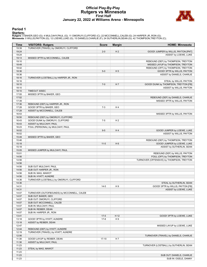# **Official Play-By-Play Rutgers vs Minnesota First Half January 22, 2022 at Williams Arena - Minneapolis**



#### **Period 1**

<mark>Starters:</mark><br>Rutgers: 0 BAKER,GEO (G); 4 MULCAHY,PAUL (G); 11 OMORUYI,CLIFFORD (C); 22 MCCONNELL,CALEB (G); 24 HARPER JR.,RON (G);<br>**Minnesota**: 0 WILLIS,PAYTON (G); 12 LOEWE,LUKE (G); 15 DANIELS,CHARLIE (F); 24 SUTHERLIN,SE

| TURNOVER (TRAVEL) by OMORUYI, CLIFFORD<br>19:39<br>19:24<br>$2 - 0$<br>H <sub>2</sub><br>GOOD! JUMPER by WILLIS, PAYTON [PNT]<br>19:24<br>ASSIST by LOEWE, LUKE<br>19:13<br>MISSED 3PTR by MCCONNELL, CALEB<br>19:10<br>REBOUND (DEF) by THOMPSON, TREYTON<br>MISSED LAYUP by THOMPSON, TREYTON<br>18:49<br>18:42<br>REBOUND (OFF) by THOMPSON, TREYTON<br>18:36<br>H <sub>5</sub><br>GOOD! 3PTR by WILLIS, PAYTON<br>$5 - 0$<br>ASSIST by DANIELS, CHARLIE<br>18:36<br>18:16<br>TURNOVER (LOSTBALL) by HARPER JR., RON<br>18:16<br>STEAL by WILLIS, PAYTON<br>18:10<br>$7 - 0$<br>H 7<br>GOOD! DUNK by THOMPSON, TREYTON [FB]<br>18:10<br>ASSIST by WILLIS, PAYTON<br>18:10<br>TIMEOUT 30SEC<br>17:55<br>MISSED 3PTR by BAKER, GEO<br>17:52<br>REBOUND (DEF) by DANIELS, CHARLIE<br>17:39<br>MISSED 3PTR by WILLIS, PAYTON<br>17:36<br>REBOUND (DEF) by HARPER JR., RON<br>17:28<br>GOOD! 3PTR by BAKER, GEO<br>$7 - 3$<br>H4<br>17:28<br>ASSIST by MCCONNELL, CALEB<br>16:53<br>MISSED 3PTR by WILLIS, PAYTON<br>16:50<br>REBOUND (DEF) by OMORUYI, CLIFFORD<br>GOOD! DUNK by OMORUYI, CLIFFORD<br>16:43<br>$7 - 5$<br>H <sub>2</sub><br>16:43<br>ASSIST by MULCAHY, PAUL<br>16:23<br>FOUL (PERSONAL) by MULCAHY, PAUL<br>16:02<br>$9-5$<br>H4<br>GOOD! JUMPER by LOEWE, LUKE<br>16:02<br>ASSIST by WILLIS, PAYTON<br>15:49<br>MISSED 3PTR by BAKER, GEO<br>15:46<br>REBOUND (DEF) by THOMPSON, TREYTON<br>GOOD! JUMPER by LOEWE, LUKE<br>15:18<br>$11 - 5$<br>H <sub>6</sub><br>15:18<br>ASSIST by SUTHERLIN, SEAN<br>15:05<br>MISSED JUMPER by MULCAHY, PAUL<br>REBOUND (DEF) by WILLIS, PAYTON<br>15:01<br>14:56<br>FOUL (OFF) by THOMPSON, TREYTON<br>14:56<br>TURNOVER (OFFENSIVE) by THOMPSON, TREYTON<br>14:56<br>14:56<br>SUB OUT: MULCAHY, PAUL<br>14:56<br>SUB OUT: HARPER JR., RON<br>14:56<br>SUB IN: MAG, MAWOT<br>14:56<br>SUB IN: HYATT, AUNDRE<br>TURNOVER (LOSTBALL) by OMORUYI, CLIFFORD<br>14:36<br>14:36<br>STEAL by SUTHERLIN, SEAN<br>14:31<br>GOOD! 3PTR by WILLIS, PAYTON [FB]<br>$14 - 5$<br>H9<br>14:31<br>ASSIST by LOEWE, LUKE<br>14:07<br>TURNOVER (OUTOFBOUNDS) by MCCONNELL, CALEB<br>SUB OUT: BAKER, GEO<br>14:07<br>14:07<br>SUB OUT: OMORUYI, CLIFFORD<br>14:07<br>SUB OUT: MCCONNELL, CALEB<br>14:07<br>SUB IN: MULCAHY, PAUL<br>14:07<br>SUB IN: REIBER, DEAN<br>14:07<br>SUB IN: HARPER JR., RON<br>13:41<br>$17-5$<br>H 12<br>GOOD! 3PTR by LOEWE, LUKE<br>13:18<br>GOOD! 3PTR by HYATT, AUNDRE<br>$17-8$<br>H 9<br>13:18<br>ASSIST by REIBER, DEAN<br>12:47<br>MISSED LAYUP by LOEWE, LUKE<br>12:44<br>REBOUND (DEF) by HYATT, AUNDRE<br>TURNOVER (TRAVEL) by HYATT, AUNDRE<br>12:19<br>12:06<br>TURNOVER (TRAVEL) by DANIELS, CHARLIE<br>11:38<br>GOOD! LAYUP by REIBER, DEAN<br>$17-10$<br>H 7<br>11:38<br>ASSIST by MULCAHY, PAUL<br>11:23<br>TURNOVER (LOSTBALL) by SUTHERLIN, SEAN<br>11:23<br>STEAL by MAG, MAWOT<br>11:23<br>11:23<br>SUB OUT: DANIELS, CHARLIE<br>SUB IN: OGELE, DANNY<br>11:23 | <b>Time</b> | <b>VISITORS: Rutgers</b> | <b>Score</b> | <b>Margin</b> | <b>HOME: Minnesota</b> |
|--------------------------------------------------------------------------------------------------------------------------------------------------------------------------------------------------------------------------------------------------------------------------------------------------------------------------------------------------------------------------------------------------------------------------------------------------------------------------------------------------------------------------------------------------------------------------------------------------------------------------------------------------------------------------------------------------------------------------------------------------------------------------------------------------------------------------------------------------------------------------------------------------------------------------------------------------------------------------------------------------------------------------------------------------------------------------------------------------------------------------------------------------------------------------------------------------------------------------------------------------------------------------------------------------------------------------------------------------------------------------------------------------------------------------------------------------------------------------------------------------------------------------------------------------------------------------------------------------------------------------------------------------------------------------------------------------------------------------------------------------------------------------------------------------------------------------------------------------------------------------------------------------------------------------------------------------------------------------------------------------------------------------------------------------------------------------------------------------------------------------------------------------------------------------------------------------------------------------------------------------------------------------------------------------------------------------------------------------------------------------------------------------------------------------------------------------------------------------------------------------------------------------------------------------------------------------------------------------------------------------------------------------------------------------------------------------------------------------------------------------------------------------------------------------------------------------------------------------------------------------------------------------------------------------------------------------|-------------|--------------------------|--------------|---------------|------------------------|
|                                                                                                                                                                                                                                                                                                                                                                                                                                                                                                                                                                                                                                                                                                                                                                                                                                                                                                                                                                                                                                                                                                                                                                                                                                                                                                                                                                                                                                                                                                                                                                                                                                                                                                                                                                                                                                                                                                                                                                                                                                                                                                                                                                                                                                                                                                                                                                                                                                                                                                                                                                                                                                                                                                                                                                                                                                                                                                                                                  |             |                          |              |               |                        |
|                                                                                                                                                                                                                                                                                                                                                                                                                                                                                                                                                                                                                                                                                                                                                                                                                                                                                                                                                                                                                                                                                                                                                                                                                                                                                                                                                                                                                                                                                                                                                                                                                                                                                                                                                                                                                                                                                                                                                                                                                                                                                                                                                                                                                                                                                                                                                                                                                                                                                                                                                                                                                                                                                                                                                                                                                                                                                                                                                  |             |                          |              |               |                        |
|                                                                                                                                                                                                                                                                                                                                                                                                                                                                                                                                                                                                                                                                                                                                                                                                                                                                                                                                                                                                                                                                                                                                                                                                                                                                                                                                                                                                                                                                                                                                                                                                                                                                                                                                                                                                                                                                                                                                                                                                                                                                                                                                                                                                                                                                                                                                                                                                                                                                                                                                                                                                                                                                                                                                                                                                                                                                                                                                                  |             |                          |              |               |                        |
|                                                                                                                                                                                                                                                                                                                                                                                                                                                                                                                                                                                                                                                                                                                                                                                                                                                                                                                                                                                                                                                                                                                                                                                                                                                                                                                                                                                                                                                                                                                                                                                                                                                                                                                                                                                                                                                                                                                                                                                                                                                                                                                                                                                                                                                                                                                                                                                                                                                                                                                                                                                                                                                                                                                                                                                                                                                                                                                                                  |             |                          |              |               |                        |
|                                                                                                                                                                                                                                                                                                                                                                                                                                                                                                                                                                                                                                                                                                                                                                                                                                                                                                                                                                                                                                                                                                                                                                                                                                                                                                                                                                                                                                                                                                                                                                                                                                                                                                                                                                                                                                                                                                                                                                                                                                                                                                                                                                                                                                                                                                                                                                                                                                                                                                                                                                                                                                                                                                                                                                                                                                                                                                                                                  |             |                          |              |               |                        |
|                                                                                                                                                                                                                                                                                                                                                                                                                                                                                                                                                                                                                                                                                                                                                                                                                                                                                                                                                                                                                                                                                                                                                                                                                                                                                                                                                                                                                                                                                                                                                                                                                                                                                                                                                                                                                                                                                                                                                                                                                                                                                                                                                                                                                                                                                                                                                                                                                                                                                                                                                                                                                                                                                                                                                                                                                                                                                                                                                  |             |                          |              |               |                        |
|                                                                                                                                                                                                                                                                                                                                                                                                                                                                                                                                                                                                                                                                                                                                                                                                                                                                                                                                                                                                                                                                                                                                                                                                                                                                                                                                                                                                                                                                                                                                                                                                                                                                                                                                                                                                                                                                                                                                                                                                                                                                                                                                                                                                                                                                                                                                                                                                                                                                                                                                                                                                                                                                                                                                                                                                                                                                                                                                                  |             |                          |              |               |                        |
|                                                                                                                                                                                                                                                                                                                                                                                                                                                                                                                                                                                                                                                                                                                                                                                                                                                                                                                                                                                                                                                                                                                                                                                                                                                                                                                                                                                                                                                                                                                                                                                                                                                                                                                                                                                                                                                                                                                                                                                                                                                                                                                                                                                                                                                                                                                                                                                                                                                                                                                                                                                                                                                                                                                                                                                                                                                                                                                                                  |             |                          |              |               |                        |
|                                                                                                                                                                                                                                                                                                                                                                                                                                                                                                                                                                                                                                                                                                                                                                                                                                                                                                                                                                                                                                                                                                                                                                                                                                                                                                                                                                                                                                                                                                                                                                                                                                                                                                                                                                                                                                                                                                                                                                                                                                                                                                                                                                                                                                                                                                                                                                                                                                                                                                                                                                                                                                                                                                                                                                                                                                                                                                                                                  |             |                          |              |               |                        |
|                                                                                                                                                                                                                                                                                                                                                                                                                                                                                                                                                                                                                                                                                                                                                                                                                                                                                                                                                                                                                                                                                                                                                                                                                                                                                                                                                                                                                                                                                                                                                                                                                                                                                                                                                                                                                                                                                                                                                                                                                                                                                                                                                                                                                                                                                                                                                                                                                                                                                                                                                                                                                                                                                                                                                                                                                                                                                                                                                  |             |                          |              |               |                        |
|                                                                                                                                                                                                                                                                                                                                                                                                                                                                                                                                                                                                                                                                                                                                                                                                                                                                                                                                                                                                                                                                                                                                                                                                                                                                                                                                                                                                                                                                                                                                                                                                                                                                                                                                                                                                                                                                                                                                                                                                                                                                                                                                                                                                                                                                                                                                                                                                                                                                                                                                                                                                                                                                                                                                                                                                                                                                                                                                                  |             |                          |              |               |                        |
|                                                                                                                                                                                                                                                                                                                                                                                                                                                                                                                                                                                                                                                                                                                                                                                                                                                                                                                                                                                                                                                                                                                                                                                                                                                                                                                                                                                                                                                                                                                                                                                                                                                                                                                                                                                                                                                                                                                                                                                                                                                                                                                                                                                                                                                                                                                                                                                                                                                                                                                                                                                                                                                                                                                                                                                                                                                                                                                                                  |             |                          |              |               |                        |
|                                                                                                                                                                                                                                                                                                                                                                                                                                                                                                                                                                                                                                                                                                                                                                                                                                                                                                                                                                                                                                                                                                                                                                                                                                                                                                                                                                                                                                                                                                                                                                                                                                                                                                                                                                                                                                                                                                                                                                                                                                                                                                                                                                                                                                                                                                                                                                                                                                                                                                                                                                                                                                                                                                                                                                                                                                                                                                                                                  |             |                          |              |               |                        |
|                                                                                                                                                                                                                                                                                                                                                                                                                                                                                                                                                                                                                                                                                                                                                                                                                                                                                                                                                                                                                                                                                                                                                                                                                                                                                                                                                                                                                                                                                                                                                                                                                                                                                                                                                                                                                                                                                                                                                                                                                                                                                                                                                                                                                                                                                                                                                                                                                                                                                                                                                                                                                                                                                                                                                                                                                                                                                                                                                  |             |                          |              |               |                        |
|                                                                                                                                                                                                                                                                                                                                                                                                                                                                                                                                                                                                                                                                                                                                                                                                                                                                                                                                                                                                                                                                                                                                                                                                                                                                                                                                                                                                                                                                                                                                                                                                                                                                                                                                                                                                                                                                                                                                                                                                                                                                                                                                                                                                                                                                                                                                                                                                                                                                                                                                                                                                                                                                                                                                                                                                                                                                                                                                                  |             |                          |              |               |                        |
|                                                                                                                                                                                                                                                                                                                                                                                                                                                                                                                                                                                                                                                                                                                                                                                                                                                                                                                                                                                                                                                                                                                                                                                                                                                                                                                                                                                                                                                                                                                                                                                                                                                                                                                                                                                                                                                                                                                                                                                                                                                                                                                                                                                                                                                                                                                                                                                                                                                                                                                                                                                                                                                                                                                                                                                                                                                                                                                                                  |             |                          |              |               |                        |
|                                                                                                                                                                                                                                                                                                                                                                                                                                                                                                                                                                                                                                                                                                                                                                                                                                                                                                                                                                                                                                                                                                                                                                                                                                                                                                                                                                                                                                                                                                                                                                                                                                                                                                                                                                                                                                                                                                                                                                                                                                                                                                                                                                                                                                                                                                                                                                                                                                                                                                                                                                                                                                                                                                                                                                                                                                                                                                                                                  |             |                          |              |               |                        |
|                                                                                                                                                                                                                                                                                                                                                                                                                                                                                                                                                                                                                                                                                                                                                                                                                                                                                                                                                                                                                                                                                                                                                                                                                                                                                                                                                                                                                                                                                                                                                                                                                                                                                                                                                                                                                                                                                                                                                                                                                                                                                                                                                                                                                                                                                                                                                                                                                                                                                                                                                                                                                                                                                                                                                                                                                                                                                                                                                  |             |                          |              |               |                        |
|                                                                                                                                                                                                                                                                                                                                                                                                                                                                                                                                                                                                                                                                                                                                                                                                                                                                                                                                                                                                                                                                                                                                                                                                                                                                                                                                                                                                                                                                                                                                                                                                                                                                                                                                                                                                                                                                                                                                                                                                                                                                                                                                                                                                                                                                                                                                                                                                                                                                                                                                                                                                                                                                                                                                                                                                                                                                                                                                                  |             |                          |              |               |                        |
|                                                                                                                                                                                                                                                                                                                                                                                                                                                                                                                                                                                                                                                                                                                                                                                                                                                                                                                                                                                                                                                                                                                                                                                                                                                                                                                                                                                                                                                                                                                                                                                                                                                                                                                                                                                                                                                                                                                                                                                                                                                                                                                                                                                                                                                                                                                                                                                                                                                                                                                                                                                                                                                                                                                                                                                                                                                                                                                                                  |             |                          |              |               |                        |
|                                                                                                                                                                                                                                                                                                                                                                                                                                                                                                                                                                                                                                                                                                                                                                                                                                                                                                                                                                                                                                                                                                                                                                                                                                                                                                                                                                                                                                                                                                                                                                                                                                                                                                                                                                                                                                                                                                                                                                                                                                                                                                                                                                                                                                                                                                                                                                                                                                                                                                                                                                                                                                                                                                                                                                                                                                                                                                                                                  |             |                          |              |               |                        |
|                                                                                                                                                                                                                                                                                                                                                                                                                                                                                                                                                                                                                                                                                                                                                                                                                                                                                                                                                                                                                                                                                                                                                                                                                                                                                                                                                                                                                                                                                                                                                                                                                                                                                                                                                                                                                                                                                                                                                                                                                                                                                                                                                                                                                                                                                                                                                                                                                                                                                                                                                                                                                                                                                                                                                                                                                                                                                                                                                  |             |                          |              |               |                        |
|                                                                                                                                                                                                                                                                                                                                                                                                                                                                                                                                                                                                                                                                                                                                                                                                                                                                                                                                                                                                                                                                                                                                                                                                                                                                                                                                                                                                                                                                                                                                                                                                                                                                                                                                                                                                                                                                                                                                                                                                                                                                                                                                                                                                                                                                                                                                                                                                                                                                                                                                                                                                                                                                                                                                                                                                                                                                                                                                                  |             |                          |              |               |                        |
|                                                                                                                                                                                                                                                                                                                                                                                                                                                                                                                                                                                                                                                                                                                                                                                                                                                                                                                                                                                                                                                                                                                                                                                                                                                                                                                                                                                                                                                                                                                                                                                                                                                                                                                                                                                                                                                                                                                                                                                                                                                                                                                                                                                                                                                                                                                                                                                                                                                                                                                                                                                                                                                                                                                                                                                                                                                                                                                                                  |             |                          |              |               |                        |
|                                                                                                                                                                                                                                                                                                                                                                                                                                                                                                                                                                                                                                                                                                                                                                                                                                                                                                                                                                                                                                                                                                                                                                                                                                                                                                                                                                                                                                                                                                                                                                                                                                                                                                                                                                                                                                                                                                                                                                                                                                                                                                                                                                                                                                                                                                                                                                                                                                                                                                                                                                                                                                                                                                                                                                                                                                                                                                                                                  |             |                          |              |               |                        |
|                                                                                                                                                                                                                                                                                                                                                                                                                                                                                                                                                                                                                                                                                                                                                                                                                                                                                                                                                                                                                                                                                                                                                                                                                                                                                                                                                                                                                                                                                                                                                                                                                                                                                                                                                                                                                                                                                                                                                                                                                                                                                                                                                                                                                                                                                                                                                                                                                                                                                                                                                                                                                                                                                                                                                                                                                                                                                                                                                  |             |                          |              |               |                        |
|                                                                                                                                                                                                                                                                                                                                                                                                                                                                                                                                                                                                                                                                                                                                                                                                                                                                                                                                                                                                                                                                                                                                                                                                                                                                                                                                                                                                                                                                                                                                                                                                                                                                                                                                                                                                                                                                                                                                                                                                                                                                                                                                                                                                                                                                                                                                                                                                                                                                                                                                                                                                                                                                                                                                                                                                                                                                                                                                                  |             |                          |              |               |                        |
|                                                                                                                                                                                                                                                                                                                                                                                                                                                                                                                                                                                                                                                                                                                                                                                                                                                                                                                                                                                                                                                                                                                                                                                                                                                                                                                                                                                                                                                                                                                                                                                                                                                                                                                                                                                                                                                                                                                                                                                                                                                                                                                                                                                                                                                                                                                                                                                                                                                                                                                                                                                                                                                                                                                                                                                                                                                                                                                                                  |             |                          |              |               |                        |
|                                                                                                                                                                                                                                                                                                                                                                                                                                                                                                                                                                                                                                                                                                                                                                                                                                                                                                                                                                                                                                                                                                                                                                                                                                                                                                                                                                                                                                                                                                                                                                                                                                                                                                                                                                                                                                                                                                                                                                                                                                                                                                                                                                                                                                                                                                                                                                                                                                                                                                                                                                                                                                                                                                                                                                                                                                                                                                                                                  |             |                          |              |               |                        |
|                                                                                                                                                                                                                                                                                                                                                                                                                                                                                                                                                                                                                                                                                                                                                                                                                                                                                                                                                                                                                                                                                                                                                                                                                                                                                                                                                                                                                                                                                                                                                                                                                                                                                                                                                                                                                                                                                                                                                                                                                                                                                                                                                                                                                                                                                                                                                                                                                                                                                                                                                                                                                                                                                                                                                                                                                                                                                                                                                  |             |                          |              |               |                        |
|                                                                                                                                                                                                                                                                                                                                                                                                                                                                                                                                                                                                                                                                                                                                                                                                                                                                                                                                                                                                                                                                                                                                                                                                                                                                                                                                                                                                                                                                                                                                                                                                                                                                                                                                                                                                                                                                                                                                                                                                                                                                                                                                                                                                                                                                                                                                                                                                                                                                                                                                                                                                                                                                                                                                                                                                                                                                                                                                                  |             |                          |              |               |                        |
|                                                                                                                                                                                                                                                                                                                                                                                                                                                                                                                                                                                                                                                                                                                                                                                                                                                                                                                                                                                                                                                                                                                                                                                                                                                                                                                                                                                                                                                                                                                                                                                                                                                                                                                                                                                                                                                                                                                                                                                                                                                                                                                                                                                                                                                                                                                                                                                                                                                                                                                                                                                                                                                                                                                                                                                                                                                                                                                                                  |             |                          |              |               |                        |
|                                                                                                                                                                                                                                                                                                                                                                                                                                                                                                                                                                                                                                                                                                                                                                                                                                                                                                                                                                                                                                                                                                                                                                                                                                                                                                                                                                                                                                                                                                                                                                                                                                                                                                                                                                                                                                                                                                                                                                                                                                                                                                                                                                                                                                                                                                                                                                                                                                                                                                                                                                                                                                                                                                                                                                                                                                                                                                                                                  |             |                          |              |               |                        |
|                                                                                                                                                                                                                                                                                                                                                                                                                                                                                                                                                                                                                                                                                                                                                                                                                                                                                                                                                                                                                                                                                                                                                                                                                                                                                                                                                                                                                                                                                                                                                                                                                                                                                                                                                                                                                                                                                                                                                                                                                                                                                                                                                                                                                                                                                                                                                                                                                                                                                                                                                                                                                                                                                                                                                                                                                                                                                                                                                  |             |                          |              |               |                        |
|                                                                                                                                                                                                                                                                                                                                                                                                                                                                                                                                                                                                                                                                                                                                                                                                                                                                                                                                                                                                                                                                                                                                                                                                                                                                                                                                                                                                                                                                                                                                                                                                                                                                                                                                                                                                                                                                                                                                                                                                                                                                                                                                                                                                                                                                                                                                                                                                                                                                                                                                                                                                                                                                                                                                                                                                                                                                                                                                                  |             |                          |              |               |                        |
|                                                                                                                                                                                                                                                                                                                                                                                                                                                                                                                                                                                                                                                                                                                                                                                                                                                                                                                                                                                                                                                                                                                                                                                                                                                                                                                                                                                                                                                                                                                                                                                                                                                                                                                                                                                                                                                                                                                                                                                                                                                                                                                                                                                                                                                                                                                                                                                                                                                                                                                                                                                                                                                                                                                                                                                                                                                                                                                                                  |             |                          |              |               |                        |
|                                                                                                                                                                                                                                                                                                                                                                                                                                                                                                                                                                                                                                                                                                                                                                                                                                                                                                                                                                                                                                                                                                                                                                                                                                                                                                                                                                                                                                                                                                                                                                                                                                                                                                                                                                                                                                                                                                                                                                                                                                                                                                                                                                                                                                                                                                                                                                                                                                                                                                                                                                                                                                                                                                                                                                                                                                                                                                                                                  |             |                          |              |               |                        |
|                                                                                                                                                                                                                                                                                                                                                                                                                                                                                                                                                                                                                                                                                                                                                                                                                                                                                                                                                                                                                                                                                                                                                                                                                                                                                                                                                                                                                                                                                                                                                                                                                                                                                                                                                                                                                                                                                                                                                                                                                                                                                                                                                                                                                                                                                                                                                                                                                                                                                                                                                                                                                                                                                                                                                                                                                                                                                                                                                  |             |                          |              |               |                        |
|                                                                                                                                                                                                                                                                                                                                                                                                                                                                                                                                                                                                                                                                                                                                                                                                                                                                                                                                                                                                                                                                                                                                                                                                                                                                                                                                                                                                                                                                                                                                                                                                                                                                                                                                                                                                                                                                                                                                                                                                                                                                                                                                                                                                                                                                                                                                                                                                                                                                                                                                                                                                                                                                                                                                                                                                                                                                                                                                                  |             |                          |              |               |                        |
|                                                                                                                                                                                                                                                                                                                                                                                                                                                                                                                                                                                                                                                                                                                                                                                                                                                                                                                                                                                                                                                                                                                                                                                                                                                                                                                                                                                                                                                                                                                                                                                                                                                                                                                                                                                                                                                                                                                                                                                                                                                                                                                                                                                                                                                                                                                                                                                                                                                                                                                                                                                                                                                                                                                                                                                                                                                                                                                                                  |             |                          |              |               |                        |
|                                                                                                                                                                                                                                                                                                                                                                                                                                                                                                                                                                                                                                                                                                                                                                                                                                                                                                                                                                                                                                                                                                                                                                                                                                                                                                                                                                                                                                                                                                                                                                                                                                                                                                                                                                                                                                                                                                                                                                                                                                                                                                                                                                                                                                                                                                                                                                                                                                                                                                                                                                                                                                                                                                                                                                                                                                                                                                                                                  |             |                          |              |               |                        |
|                                                                                                                                                                                                                                                                                                                                                                                                                                                                                                                                                                                                                                                                                                                                                                                                                                                                                                                                                                                                                                                                                                                                                                                                                                                                                                                                                                                                                                                                                                                                                                                                                                                                                                                                                                                                                                                                                                                                                                                                                                                                                                                                                                                                                                                                                                                                                                                                                                                                                                                                                                                                                                                                                                                                                                                                                                                                                                                                                  |             |                          |              |               |                        |
|                                                                                                                                                                                                                                                                                                                                                                                                                                                                                                                                                                                                                                                                                                                                                                                                                                                                                                                                                                                                                                                                                                                                                                                                                                                                                                                                                                                                                                                                                                                                                                                                                                                                                                                                                                                                                                                                                                                                                                                                                                                                                                                                                                                                                                                                                                                                                                                                                                                                                                                                                                                                                                                                                                                                                                                                                                                                                                                                                  |             |                          |              |               |                        |
|                                                                                                                                                                                                                                                                                                                                                                                                                                                                                                                                                                                                                                                                                                                                                                                                                                                                                                                                                                                                                                                                                                                                                                                                                                                                                                                                                                                                                                                                                                                                                                                                                                                                                                                                                                                                                                                                                                                                                                                                                                                                                                                                                                                                                                                                                                                                                                                                                                                                                                                                                                                                                                                                                                                                                                                                                                                                                                                                                  |             |                          |              |               |                        |
|                                                                                                                                                                                                                                                                                                                                                                                                                                                                                                                                                                                                                                                                                                                                                                                                                                                                                                                                                                                                                                                                                                                                                                                                                                                                                                                                                                                                                                                                                                                                                                                                                                                                                                                                                                                                                                                                                                                                                                                                                                                                                                                                                                                                                                                                                                                                                                                                                                                                                                                                                                                                                                                                                                                                                                                                                                                                                                                                                  |             |                          |              |               |                        |
|                                                                                                                                                                                                                                                                                                                                                                                                                                                                                                                                                                                                                                                                                                                                                                                                                                                                                                                                                                                                                                                                                                                                                                                                                                                                                                                                                                                                                                                                                                                                                                                                                                                                                                                                                                                                                                                                                                                                                                                                                                                                                                                                                                                                                                                                                                                                                                                                                                                                                                                                                                                                                                                                                                                                                                                                                                                                                                                                                  |             |                          |              |               |                        |
|                                                                                                                                                                                                                                                                                                                                                                                                                                                                                                                                                                                                                                                                                                                                                                                                                                                                                                                                                                                                                                                                                                                                                                                                                                                                                                                                                                                                                                                                                                                                                                                                                                                                                                                                                                                                                                                                                                                                                                                                                                                                                                                                                                                                                                                                                                                                                                                                                                                                                                                                                                                                                                                                                                                                                                                                                                                                                                                                                  |             |                          |              |               |                        |
|                                                                                                                                                                                                                                                                                                                                                                                                                                                                                                                                                                                                                                                                                                                                                                                                                                                                                                                                                                                                                                                                                                                                                                                                                                                                                                                                                                                                                                                                                                                                                                                                                                                                                                                                                                                                                                                                                                                                                                                                                                                                                                                                                                                                                                                                                                                                                                                                                                                                                                                                                                                                                                                                                                                                                                                                                                                                                                                                                  |             |                          |              |               |                        |
|                                                                                                                                                                                                                                                                                                                                                                                                                                                                                                                                                                                                                                                                                                                                                                                                                                                                                                                                                                                                                                                                                                                                                                                                                                                                                                                                                                                                                                                                                                                                                                                                                                                                                                                                                                                                                                                                                                                                                                                                                                                                                                                                                                                                                                                                                                                                                                                                                                                                                                                                                                                                                                                                                                                                                                                                                                                                                                                                                  |             |                          |              |               |                        |
|                                                                                                                                                                                                                                                                                                                                                                                                                                                                                                                                                                                                                                                                                                                                                                                                                                                                                                                                                                                                                                                                                                                                                                                                                                                                                                                                                                                                                                                                                                                                                                                                                                                                                                                                                                                                                                                                                                                                                                                                                                                                                                                                                                                                                                                                                                                                                                                                                                                                                                                                                                                                                                                                                                                                                                                                                                                                                                                                                  |             |                          |              |               |                        |
|                                                                                                                                                                                                                                                                                                                                                                                                                                                                                                                                                                                                                                                                                                                                                                                                                                                                                                                                                                                                                                                                                                                                                                                                                                                                                                                                                                                                                                                                                                                                                                                                                                                                                                                                                                                                                                                                                                                                                                                                                                                                                                                                                                                                                                                                                                                                                                                                                                                                                                                                                                                                                                                                                                                                                                                                                                                                                                                                                  |             |                          |              |               |                        |
|                                                                                                                                                                                                                                                                                                                                                                                                                                                                                                                                                                                                                                                                                                                                                                                                                                                                                                                                                                                                                                                                                                                                                                                                                                                                                                                                                                                                                                                                                                                                                                                                                                                                                                                                                                                                                                                                                                                                                                                                                                                                                                                                                                                                                                                                                                                                                                                                                                                                                                                                                                                                                                                                                                                                                                                                                                                                                                                                                  |             |                          |              |               |                        |
|                                                                                                                                                                                                                                                                                                                                                                                                                                                                                                                                                                                                                                                                                                                                                                                                                                                                                                                                                                                                                                                                                                                                                                                                                                                                                                                                                                                                                                                                                                                                                                                                                                                                                                                                                                                                                                                                                                                                                                                                                                                                                                                                                                                                                                                                                                                                                                                                                                                                                                                                                                                                                                                                                                                                                                                                                                                                                                                                                  |             |                          |              |               |                        |
|                                                                                                                                                                                                                                                                                                                                                                                                                                                                                                                                                                                                                                                                                                                                                                                                                                                                                                                                                                                                                                                                                                                                                                                                                                                                                                                                                                                                                                                                                                                                                                                                                                                                                                                                                                                                                                                                                                                                                                                                                                                                                                                                                                                                                                                                                                                                                                                                                                                                                                                                                                                                                                                                                                                                                                                                                                                                                                                                                  |             |                          |              |               |                        |
|                                                                                                                                                                                                                                                                                                                                                                                                                                                                                                                                                                                                                                                                                                                                                                                                                                                                                                                                                                                                                                                                                                                                                                                                                                                                                                                                                                                                                                                                                                                                                                                                                                                                                                                                                                                                                                                                                                                                                                                                                                                                                                                                                                                                                                                                                                                                                                                                                                                                                                                                                                                                                                                                                                                                                                                                                                                                                                                                                  |             |                          |              |               |                        |
|                                                                                                                                                                                                                                                                                                                                                                                                                                                                                                                                                                                                                                                                                                                                                                                                                                                                                                                                                                                                                                                                                                                                                                                                                                                                                                                                                                                                                                                                                                                                                                                                                                                                                                                                                                                                                                                                                                                                                                                                                                                                                                                                                                                                                                                                                                                                                                                                                                                                                                                                                                                                                                                                                                                                                                                                                                                                                                                                                  |             |                          |              |               |                        |
|                                                                                                                                                                                                                                                                                                                                                                                                                                                                                                                                                                                                                                                                                                                                                                                                                                                                                                                                                                                                                                                                                                                                                                                                                                                                                                                                                                                                                                                                                                                                                                                                                                                                                                                                                                                                                                                                                                                                                                                                                                                                                                                                                                                                                                                                                                                                                                                                                                                                                                                                                                                                                                                                                                                                                                                                                                                                                                                                                  |             |                          |              |               |                        |
|                                                                                                                                                                                                                                                                                                                                                                                                                                                                                                                                                                                                                                                                                                                                                                                                                                                                                                                                                                                                                                                                                                                                                                                                                                                                                                                                                                                                                                                                                                                                                                                                                                                                                                                                                                                                                                                                                                                                                                                                                                                                                                                                                                                                                                                                                                                                                                                                                                                                                                                                                                                                                                                                                                                                                                                                                                                                                                                                                  |             |                          |              |               |                        |
|                                                                                                                                                                                                                                                                                                                                                                                                                                                                                                                                                                                                                                                                                                                                                                                                                                                                                                                                                                                                                                                                                                                                                                                                                                                                                                                                                                                                                                                                                                                                                                                                                                                                                                                                                                                                                                                                                                                                                                                                                                                                                                                                                                                                                                                                                                                                                                                                                                                                                                                                                                                                                                                                                                                                                                                                                                                                                                                                                  |             |                          |              |               |                        |
|                                                                                                                                                                                                                                                                                                                                                                                                                                                                                                                                                                                                                                                                                                                                                                                                                                                                                                                                                                                                                                                                                                                                                                                                                                                                                                                                                                                                                                                                                                                                                                                                                                                                                                                                                                                                                                                                                                                                                                                                                                                                                                                                                                                                                                                                                                                                                                                                                                                                                                                                                                                                                                                                                                                                                                                                                                                                                                                                                  |             |                          |              |               |                        |
|                                                                                                                                                                                                                                                                                                                                                                                                                                                                                                                                                                                                                                                                                                                                                                                                                                                                                                                                                                                                                                                                                                                                                                                                                                                                                                                                                                                                                                                                                                                                                                                                                                                                                                                                                                                                                                                                                                                                                                                                                                                                                                                                                                                                                                                                                                                                                                                                                                                                                                                                                                                                                                                                                                                                                                                                                                                                                                                                                  |             |                          |              |               |                        |
|                                                                                                                                                                                                                                                                                                                                                                                                                                                                                                                                                                                                                                                                                                                                                                                                                                                                                                                                                                                                                                                                                                                                                                                                                                                                                                                                                                                                                                                                                                                                                                                                                                                                                                                                                                                                                                                                                                                                                                                                                                                                                                                                                                                                                                                                                                                                                                                                                                                                                                                                                                                                                                                                                                                                                                                                                                                                                                                                                  |             |                          |              |               |                        |
|                                                                                                                                                                                                                                                                                                                                                                                                                                                                                                                                                                                                                                                                                                                                                                                                                                                                                                                                                                                                                                                                                                                                                                                                                                                                                                                                                                                                                                                                                                                                                                                                                                                                                                                                                                                                                                                                                                                                                                                                                                                                                                                                                                                                                                                                                                                                                                                                                                                                                                                                                                                                                                                                                                                                                                                                                                                                                                                                                  |             |                          |              |               |                        |
|                                                                                                                                                                                                                                                                                                                                                                                                                                                                                                                                                                                                                                                                                                                                                                                                                                                                                                                                                                                                                                                                                                                                                                                                                                                                                                                                                                                                                                                                                                                                                                                                                                                                                                                                                                                                                                                                                                                                                                                                                                                                                                                                                                                                                                                                                                                                                                                                                                                                                                                                                                                                                                                                                                                                                                                                                                                                                                                                                  |             |                          |              |               |                        |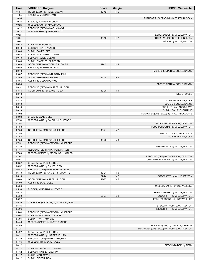| Time  | <b>VISITORS: Rutgers</b>            | <b>Score</b> | <b>Margin</b>  | <b>HOME: Minnesota</b>                   |
|-------|-------------------------------------|--------------|----------------|------------------------------------------|
| 11:04 | GOOD! LAYUP by REIBER, DEAN         | $17 - 12$    | H <sub>5</sub> |                                          |
| 11:04 | ASSIST by MULCAHY, PAUL             |              |                |                                          |
| 10:36 |                                     |              |                | TURNOVER (BADPASS) by SUTHERLIN, SEAN    |
| 10:36 | STEAL by HARPER JR., RON            |              |                |                                          |
| 10:26 | MISSED LAYUP by MAG, MAWOT          |              |                |                                          |
| 10:22 | REBOUND (OFF) by MAG, MAWOT         |              |                |                                          |
| 10:22 | MISSED LAYUP by MAG, MAWOT          |              |                |                                          |
| 10:21 |                                     |              |                | REBOUND (DEF) by WILLIS, PAYTON          |
| 10:01 |                                     | $19-12$      | H 7            | GOOD! LAYUP by SUTHERLIN, SEAN           |
| 10:01 |                                     |              |                | ASSIST by WILLIS, PAYTON                 |
| 09:48 | SUB OUT: MAG, MAWOT                 |              |                |                                          |
| 09:48 | SUB OUT: HYATT, AUNDRE              |              |                |                                          |
| 09:48 | SUB IN: BAKER, GEO                  |              |                |                                          |
| 09:48 | SUB IN: MCCONNELL, CALEB            |              |                |                                          |
| 09:48 | SUB OUT: REIBER, DEAN               |              |                |                                          |
| 09:48 |                                     |              |                |                                          |
|       | SUB IN: OMORUYI, CLIFFORD           |              | H4             |                                          |
| 09:40 | GOOD! 3PTR by MCCONNELL, CALEB      | 19-15        |                |                                          |
| 09:40 | ASSIST by HARPER JR., RON           |              |                |                                          |
| 09:10 |                                     |              |                | MISSED JUMPER by OGELE, DANNY            |
| 09:07 | REBOUND (DEF) by MULCAHY, PAUL      |              |                |                                          |
| 08:55 | GOOD! 3PTR by BAKER, GEO            | $19-18$      | H <sub>1</sub> |                                          |
| 08:55 | ASSIST by MULCAHY, PAUL             |              |                |                                          |
| 08:33 |                                     |              |                | MISSED 3PTR by OGELE, DANNY              |
| 08:31 | REBOUND (DEF) by HARPER JR., RON    |              |                |                                          |
| 08:15 | GOOD! JUMPER by BAKER, GEO          | 19-20        | V <sub>1</sub> |                                          |
| 08:13 |                                     |              |                | TIMEOUT 30SEC                            |
| 08:13 |                                     |              |                |                                          |
| 08:13 |                                     |              |                | SUB OUT: LOEWE, LUKE                     |
| 08:13 |                                     |              |                | SUB OUT: OGELE, DANNY                    |
| 08:13 |                                     |              |                | SUB IN: THIAM, ABDOULAYE                 |
| 08:13 |                                     |              |                | SUB IN: DANIELS, CHARLIE                 |
| 08:02 |                                     |              |                | TURNOVER (LOSTBALL) by THIAM, ABDOULAYE  |
| 08:02 | STEAL by BAKER, GEO                 |              |                |                                          |
| 07:54 | MISSED LAYUP by OMORUYI, CLIFFORD   |              |                |                                          |
| 07:54 |                                     |              |                | BLOCK by THOMPSON, TREYTON               |
| 07:53 |                                     |              |                | FOUL (PERSONAL) by WILLIS, PAYTON        |
| 07:53 | GOOD! FT by OMORUYI, CLIFFORD       | 19-21        | V <sub>2</sub> |                                          |
| 07:53 |                                     |              |                | SUB OUT: THIAM, ABDOULAYE                |
| 07:53 |                                     |              |                | SUB IN: LOEWE, LUKE                      |
| 07:53 | GOOD! FT by OMORUYI, CLIFFORD       | 19-22        | $V_3$          |                                          |
|       |                                     |              |                |                                          |
| 07:51 | REBOUND (OFF) by OMORUYI, CLIFFORD  |              |                |                                          |
| 07:20 |                                     |              |                | MISSED 3PTR by WILLIS, PAYTON            |
| 07:17 | REBOUND (DEF) by HARPER JR., RON    |              |                |                                          |
| 07:09 | MISSED JUMPER by MCCONNELL, CALEB   |              |                |                                          |
| 07:07 |                                     |              |                | REBOUND (DEF) by THOMPSON, TREYTON       |
| 06:57 |                                     |              |                | TURNOVER (LOSTBALL) by WILLIS, PAYTON    |
| 06:57 | STEAL by HARPER JR., RON            |              |                |                                          |
| 06:52 | MISSED LAYUP by BAKER, GEO          |              |                |                                          |
| 06:48 | REBOUND (OFF) by HARPER JR., RON    |              |                |                                          |
| 06:48 | GOOD! LAYUP by HARPER JR., RON [FB] | 19-24        | V <sub>5</sub> |                                          |
| 06:19 |                                     | $22 - 24$    | V <sub>2</sub> | GOOD! 3PTR by WILLIS, PAYTON             |
| 06:00 | GOOD! 3PTR by HARPER JR., RON       | 22-27        | V <sub>5</sub> |                                          |
| 06:00 | ASSIST by BAKER, GEO                |              |                |                                          |
| 05:36 |                                     |              |                | MISSED JUMPER by LOEWE, LUKE             |
| 05:36 | BLOCK by OMORUYI, CLIFFORD          |              |                |                                          |
| 05:32 |                                     |              |                | REBOUND (OFF) by WILLIS, PAYTON          |
| 05:30 |                                     | $25 - 27$    | V <sub>2</sub> | GOOD! 3PTR by WILLIS, PAYTON             |
| 05:22 |                                     |              |                | FOUL (PERSONAL) by LOEWE, LUKE           |
| 05:16 | TURNOVER (BADPASS) by MULCAHY, PAUL |              |                |                                          |
| 05:16 |                                     |              |                | STEAL by THOMPSON, TREYTON               |
| 05:06 |                                     |              |                | MISSED 3PTR by WILLIS, PAYTON            |
| 05:04 | REBOUND (DEF) by OMORUYI, CLIFFORD  |              |                |                                          |
| 05:04 | SUB OUT: MCCONNELL, CALEB           |              |                |                                          |
| 05:04 | SUB IN: HYATT, AUNDRE               |              |                |                                          |
| 04:49 | MISSED JUMPER by HYATT, AUNDRE      |              |                |                                          |
| 04:46 |                                     |              |                | REBOUND (DEF) by DANIELS, CHARLIE        |
| 04:27 |                                     |              |                | TURNOVER (LOSTBALL) by THOMPSON, TREYTON |
| 04:27 | STEAL by HARPER JR., RON            |              |                |                                          |
|       |                                     |              |                |                                          |
| 04:21 | MISSED LAYUP by HARPER JR., RON     |              |                |                                          |
| 04:19 | REBOUND (OFF) by MULCAHY, PAUL      |              |                |                                          |
| 04:16 | MISSED 3PTR by BAKER, GEO           |              |                |                                          |
| 04:12 |                                     |              |                | REBOUND (DEF) by TEAM                    |
| 04:12 | SUB OUT: OMORUYI, CLIFFORD          |              |                |                                          |
| 04:12 | SUB OUT: HARPER JR., RON            |              |                |                                          |
| 04:12 | SUB IN: MAG, MAWOT                  |              |                |                                          |
| 04:12 | SUB IN: REIBER, DEAN                |              |                |                                          |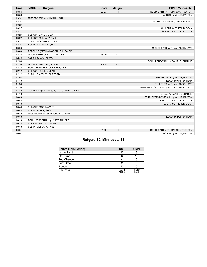| <b>Time</b> | <b>VISITORS: Rutgers</b>               | <b>Score</b> | <b>Margin</b>  | <b>HOME: Minnesota</b>                   |
|-------------|----------------------------------------|--------------|----------------|------------------------------------------|
| 03:56       |                                        | 28-27        | H <sub>1</sub> | GOOD! 3PTR by THOMPSON, TREYTON          |
| 03:56       |                                        |              |                | ASSIST by WILLIS, PAYTON                 |
| 03:31       | MISSED 3PTR by MULCAHY, PAUL           |              |                |                                          |
| 03:27       |                                        |              |                | REBOUND (DEF) by SUTHERLIN, SEAN         |
| 03:27       |                                        |              |                |                                          |
| 03:27       |                                        |              |                | SUB OUT: SUTHERLIN, SEAN                 |
| 03:27       |                                        |              |                | SUB IN: THIAM, ABDOULAYE                 |
| 03:27       | SUB OUT: BAKER, GEO                    |              |                |                                          |
| 03:27       | SUB OUT: MULCAHY, PAUL                 |              |                |                                          |
| 03:27       | SUB IN: MCCONNELL, CALEB               |              |                |                                          |
| 03:27       | SUB IN: HARPER JR., RON                |              |                |                                          |
| 03:03       |                                        |              |                | MISSED 3PTR by THIAM, ABDOULAYE          |
| 03:00       | REBOUND (DEF) by MCCONNELL, CALEB      |              |                |                                          |
| 02:38       | GOOD! LAYUP by HYATT, AUNDRE           | 28-29        | V <sub>1</sub> |                                          |
| 02:38       | ASSIST by MAG, MAWOT                   |              |                |                                          |
| 02:38       |                                        |              |                | FOUL (PERSONAL) by DANIELS, CHARLIE      |
| 02:38       | GOOD! FT by HYATT, AUNDRE              | 28-30        | V <sub>2</sub> |                                          |
| 02:12       | FOUL (PERSONAL) by REIBER, DEAN        |              |                |                                          |
| 02:12       | SUB OUT: REIBER, DEAN                  |              |                |                                          |
| 02:12       | SUB IN: OMORUYI, CLIFFORD              |              |                |                                          |
| 01:54       |                                        |              |                | MISSED 3PTR by WILLIS, PAYTON            |
| 01:49       |                                        |              |                | REBOUND (OFF) by TEAM                    |
| 01:30       |                                        |              |                | FOUL (OFF) by THIAM, ABDOULAYE           |
| 01:30       |                                        |              |                | TURNOVER (OFFENSIVE) by THIAM, ABDOULAYE |
| 01:10       | TURNOVER (BADPASS) by MCCONNELL, CALEB |              |                |                                          |
| 01:10       |                                        |              |                | STEAL by DANIELS, CHARLIE                |
| 00:43       |                                        |              |                | TURNOVER (LOSTBALL) by WILLIS, PAYTON    |
| 00:43       |                                        |              |                | SUB OUT: THIAM, ABDOULAYE                |
| 00:43       |                                        |              |                | SUB IN: SUTHERLIN, SEAN                  |
| 00:43       | SUB OUT: MAG, MAWOT                    |              |                |                                          |
| 00:43       | SUB IN: BAKER, GEO                     |              |                |                                          |
| 00:19       | MISSED JUMPER by OMORUYI, CLIFFORD     |              |                |                                          |
| 00:18       |                                        |              |                | REBOUND (DEF) by TEAM                    |
| 00:18       | FOUL (PERSONAL) by HYATT, AUNDRE       |              |                |                                          |
| 00:18       | SUB OUT: HYATT, AUNDRE                 |              |                |                                          |
| 00:18       | SUB IN: MULCAHY, PAUL                  |              |                |                                          |
| 00:01       |                                        | $31 - 30$    | H <sub>1</sub> | GOOD! 3PTR by THOMPSON, TREYTON          |
| 00:01       |                                        |              |                | ASSIST by WILLIS, PAYTON                 |

# **Rutgers 30, Minnesota 31**

| <b>Points (This Period)</b> | <b>RUT</b>     | <b>UMN</b>     |
|-----------------------------|----------------|----------------|
| In the Paint                | 10             |                |
| Off Turns                   |                | 10             |
| 2nd Chance                  |                |                |
| <b>Fast Break</b>           |                | 5              |
| Bench                       | 10             |                |
| Per Poss                    | 1.034<br>13/29 | 1.069<br>12/29 |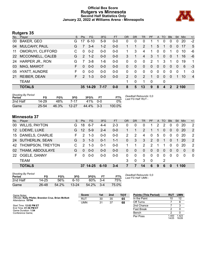# **Official Box Score Rutgers vs Minnesota Second Half Statistics Only January 22, 2022 at Williams Arena - Minneapolis**



# **Rutgers 35**

| No. | Player               | S. | <b>Pts</b>    | FG.      | 3FG      | <b>FT</b> | <b>OR</b>     | <b>DR</b> | <b>TR</b> | <b>PF</b>     | A            | TO          | <b>B</b> lk    | Stl      | <b>Min</b> | $+/-$          |
|-----|----------------------|----|---------------|----------|----------|-----------|---------------|-----------|-----------|---------------|--------------|-------------|----------------|----------|------------|----------------|
| 00  | <b>BAKER, GEO</b>    | G  | 17            | $6 - 10$ | $5-9$    | $0 - 0$   | 0             | 0         | 0         |               |              | 0           | 0              | 0        | 20         | $-2$           |
| 04  | <b>MULCAHY, PAUL</b> | G  | 7             | $3 - 4$  | $1 - 2$  | $0-0$     |               |           | 2         |               | 5.           |             | $\overline{0}$ | 0        | 17         | 5              |
| 11  | OMORUYI, CLIFFORD    | C. | $\Omega$      | $0 - 2$  | $0 - 0$  | $0 - 0$   | 1.            | 3         | 4         | 1             | $\mathbf{0}$ | $\mathbf 0$ | 1              | 0        | 10         | -6             |
| 22  | MCCONNELL, CALEB     | G  | $\mathcal{P}$ | $1 - 2$  | $0 - 0$  | $0-0$     | 3             | 1         | 4         | 3             |              | $\Omega$    | $\Omega$       |          | 16         | -6             |
| 24  | HARPER JR., RON      | G  | 7             | $3 - 8$  | $1-6$    | $0 - 0$   | $\Omega$      | $\Omega$  | $\Omega$  | $\mathcal{P}$ | 1            | 3           |                | 0        | 19         | 1              |
| 03  | MAG, MAWOT           |    | <sup>0</sup>  | $0 - 0$  | $0 - 0$  | $0 - 0$   | 0             | $\Omega$  | $\Omega$  | $\Omega$      | $\Omega$     | $\Omega$    | $\Omega$       | $\Omega$ | 6          | -3             |
| 05  | <b>HYATT, AUNDRE</b> | F. | $\Omega$      | $0 - 0$  | $0-0$    | $0-0$     | 0             | $\Omega$  | 0         | $\Omega$      | $\Omega$     | $\Omega$    | $\Omega$       | $\Omega$ | 1          | -3             |
| 21  | <b>REIBER, DEAN</b>  | F. | $\mathcal{P}$ | $1 - 3$  | $0 - 0$  | $0 - 0$   | $\mathcal{P}$ | $\Omega$  | 2         | 1             | $\Omega$     | $\Omega$    | $\Omega$       | 1        | 10         | $\overline{4}$ |
|     | <b>TEAM</b>          |    |               |          |          |           | 1             | 0         | 1         | $\mathbf 0$   |              | 0           |                |          |            |                |
|     | <b>TOTALS</b>        |    |               | 35 14-29 | $7 - 17$ | $0 - 0$   | 8             | 5         | 13        | 9             | 8            | 4           | $\mathcal{P}$  |          | 2 100      |                |

| <b>Shooting By Period</b><br>Period | FG        | FG%   | 3FG       | 3FG%  | FТ     | FT%    | Deadball Rebounds: 0,0<br>Last FG Half: RUT - |
|-------------------------------------|-----------|-------|-----------|-------|--------|--------|-----------------------------------------------|
| 2nd Half                            | 14-29     | 48%   | 7-17      | 41%   | . റ-റ  | 0%     |                                               |
| Game                                | $25 - 54$ | 46.3% | $12 - 27$ | 44.4% | $-3-3$ | 100.0% |                                               |

# **Minnesota 37**

| No.             | Player                 | S. | <b>Pts</b>    | <b>FG</b> | 3FG      | <b>FT</b> | <b>OR</b>     | <b>DR</b> | TR       | <b>PF</b>     | $\mathsf{A}$ | <b>TO</b>    | <b>B</b> lk  | Stl          | Min      | $+/-$    |
|-----------------|------------------------|----|---------------|-----------|----------|-----------|---------------|-----------|----------|---------------|--------------|--------------|--------------|--------------|----------|----------|
| 00              | <b>WILLIS, PAYTON</b>  | G  | 18            | $6 - 7$   | 4-4      | $2 - 3$   | 0             | 0         |          |               | 2            | 2            |              | 0            | 20       | 2        |
| 12 <sup>°</sup> | LOEWE, LUKE            | G  | 12            | $5-9$     | $2 - 4$  | $0-0$     |               |           | 2        |               |              | 0            | $\Omega$     | 0            | 20       | 2        |
| 15              | DANIELS, CHARLIE       | F. | $\mathcal{P}$ | $1 - 3$   | $0-0$    | $0-0$     | $\mathcal{P}$ | 2         | 4        | 0             | 5            | $\mathbf{0}$ | $\mathbf{0}$ | $\mathbf{0}$ | 20       | 2        |
| 24              | <b>SUTHERLIN, SEAN</b> | G  | 3             | $1 - 3$   | $0 - 1$  | $1 - 1$   | 0             | 3         | 3        | 2             | $\Omega$     | -1           | $\Omega$     | 1            | -20      | 2        |
|                 | 42 THOMPSON, TREYTON   |    | $\mathcal{P}$ | $1 - 3$   | $0 - 1$  | $0-0$     | 1             |           | 2        | $\mathcal{P}$ |              |              | $\Omega$     | $\Omega$     | 20       | 2        |
| 02              | THIAM, ABDOULAYE       | G  | 0             | $0 - 0$   | $0 - 0$  | $0-0$     | 0             | 0         | $\Omega$ | $\Omega$      | $\Omega$     | 0            | $\Omega$     | $\Omega$     | $\Omega$ | $\Omega$ |
| <b>22</b>       | OGELE, DANNY           | F  | <sup>0</sup>  | $0 - 0$   | $0 - 0$  | $0-0$     | 0             | $\Omega$  | $\Omega$ | $\Omega$      | 0            | 0            | $\Omega$     | $\Omega$     | $\Omega$ | $\Omega$ |
|                 | <b>TEAM</b>            |    |               |           |          |           | 3             | $\Omega$  | 3        | -0            |              | 2            |              |              |          |          |
|                 | <b>TOTALS</b>          |    |               | 37 14-25  | $6 - 10$ | $3 - 4$   |               |           | 14       | 6             | 9            | 6            | 0            |              | 100      |          |

| <b>Shooting By Period</b><br>Period | FG    | FG%   | 3FG       | 3FG%  |         | FT%   |
|-------------------------------------|-------|-------|-----------|-------|---------|-------|
| 2nd Half                            | 14-25 | 56%   | ჩ-10      | 60%   | $3-4$   | 75%   |
| Game                                | 26-48 | 54.2% | $13 - 24$ | 54.2% | $3 - 4$ | 75.0% |

*Deadball Rebounds:* 0,0 *Last FG Half:* UMN -

| Game Notes:                                                               | <b>Score</b> | 1st | 2 <sub>nd</sub> | <b>TOT</b> | <b>Points (This Period)</b> | <b>RU1</b>     | <b>UMN</b>    |
|---------------------------------------------------------------------------|--------------|-----|-----------------|------------|-----------------------------|----------------|---------------|
| Officials: Kelly Pfiefer, Brandon Cruz, Brian McNutt<br>Attendance: 10794 | <b>RUT</b>   | 30  | 35              | 65         | In the Paint                |                | 12            |
|                                                                           | <b>UMN</b>   | 31  | 37              | 68         | Off Turns                   |                |               |
| Start Time: 12:02 PM ET                                                   |              |     |                 |            | 2nd Chance                  |                |               |
| End Time: 01:56 PM ET<br>Game Duration: 1:54                              |              |     |                 |            | <b>Fast Break</b>           |                |               |
| Conference Game:                                                          |              |     |                 |            | Bench                       |                |               |
|                                                                           |              |     |                 |            | Per Poss                    | 1.400<br>14/25 | .423<br>16/26 |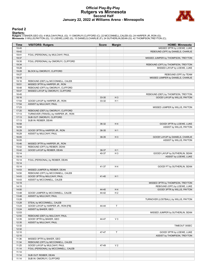# **Official Play-By-Play Rutgers vs Minnesota Second Half January 22, 2022 at Williams Arena - Minneapolis**



# **Period 2**

#### **Starters:**

**Rutgers**: 0 BAKER,GEO (G); 4 MULCAHY,PAUL (G); 11 OMORUYI,CLIFFORD (C); 22 MCCONNELL,CALEB (G); 24 HARPER JR.,RON (G);<br>**Minnesota**: 0 WILLIS,PAYTON (G); 12 LOEWE,LUKE (G); 15 DANIELS,CHARLIE (F); 24 SUTHERLIN,SEAN (G); 42

| Time           | <b>VISITORS: Rutgers</b>             | <b>Score</b> | <b>Margin</b>  | <b>HOME: Minnesota</b>                |
|----------------|--------------------------------------|--------------|----------------|---------------------------------------|
| 19:45          |                                      |              |                | MISSED 3PTR by LOEWE, LUKE            |
| 19:42          |                                      |              |                | REBOUND (OFF) by DANIELS, CHARLIE     |
| 19:41          | FOUL (PERSONAL) by MULCAHY, PAUL     |              |                |                                       |
| 19:37          |                                      |              |                | MISSED JUMPER by THOMPSON, TREYTON    |
| 19:35          | FOUL (PERSONAL) by OMORUYI, CLIFFORD |              |                |                                       |
| 19:34          |                                      |              |                | REBOUND (OFF) by THOMPSON, TREYTON    |
| 19:28          |                                      |              |                | MISSED LAYUP by LOEWE, LUKE           |
| 19:28          | BLOCK by OMORUYI, CLIFFORD           |              |                |                                       |
| 19:27          |                                      |              |                | REBOUND (OFF) by TEAM                 |
| 19:18          |                                      |              |                | MISSED JUMPER by DANIELS, CHARLIE     |
| 19:16          | REBOUND (DEF) by MCCONNELL, CALEB    |              |                |                                       |
| 18:51          | MISSED 3PTR by HARPER JR., RON       |              |                |                                       |
| 18:48          | REBOUND (OFF) by OMORUYI, CLIFFORD   |              |                |                                       |
| 18:47          | MISSED LAYUP by OMORUYI, CLIFFORD    |              |                |                                       |
| 18:45          |                                      |              |                | REBOUND (DEF) by THOMPSON, TREYTON    |
| 18:16          |                                      | 33-30        | $H_3$          | GOOD! LAYUP by WILLIS, PAYTON         |
| 17:54          | GOOD! LAYUP by HARPER JR., RON       | 33-32        | H <sub>1</sub> |                                       |
| 17:54          | ASSIST by MULCAHY, PAUL              |              |                |                                       |
| 17:23          |                                      |              |                | MISSED JUMPER by WILLIS, PAYTON       |
| 17:20          | REBOUND (DEF) by OMORUYI, CLIFFORD   |              |                |                                       |
| 17:13          | TURNOVER (TRAVEL) by HARPER JR., RON |              |                |                                       |
| 17:13          | SUB OUT: OMORUYI, CLIFFORD           |              |                |                                       |
| 17:13          | SUB IN: REIBER, DEAN                 |              |                |                                       |
| 16:58          |                                      | 36-32        | H4             | GOOD! 3PTR by LOEWE, LUKE             |
| 16:58          |                                      |              |                | ASSIST by WILLIS, PAYTON              |
| 16:29          | GOOD! 3PTR by HARPER JR., RON        | 36-35        | H <sub>1</sub> |                                       |
| 16:29          | ASSIST by MULCAHY, PAUL              |              |                |                                       |
| 16:05          |                                      | 38-35        | $H_3$          | GOOD! LAYUP by DANIELS, CHARLIE       |
| 16:05          |                                      |              |                | ASSIST by WILLIS, PAYTON              |
| 15:46          | MISSED 3PTR by HARPER JR., RON       |              |                |                                       |
| 15:42          | REBOUND (OFF) by REIBER, DEAN        |              |                |                                       |
| 15:42          | GOOD! LAYUP by REIBER, DEAN          | 38-37        | H <sub>1</sub> |                                       |
| 15:14          |                                      | 40-37        | $H_3$          | GOOD! LAYUP by SUTHERLIN, SEAN        |
| 15:14          |                                      |              |                | ASSIST by LOEWE, LUKE                 |
| 15:14<br>15:14 | FOUL (PERSONAL) by REIBER, DEAN      |              |                |                                       |
| 15:14          |                                      | 41-37        | H4             |                                       |
| 14:53          | MISSED JUMPER by REIBER, DEAN        |              |                | GOOD! FT by SUTHERLIN, SEAN           |
| 14:50          | REBOUND (OFF) by MCCONNELL, CALEB    |              |                |                                       |
| 14:43          | GOOD! 3PTR by MULCAHY, PAUL          | 41-40        | H <sub>1</sub> |                                       |
| 14:43          | ASSIST by MCCONNELL, CALEB           |              |                |                                       |
| 14:19          |                                      |              |                | MISSED 3PTR by THOMPSON, TREYTON      |
| 14:15          |                                      |              |                | REBOUND (OFF) by LOEWE, LUKE          |
| 14:00          |                                      | 44-40        | H 4            | GOOD! 3PTR by WILLIS, PAYTON          |
| 13:48          | GOOD! JUMPER by MCCONNELL, CALEB     | 44-42        | H <sub>2</sub> |                                       |
| 13:48          | ASSIST by MULCAHY, PAUL              |              |                |                                       |
| 13:28          |                                      |              |                | TURNOVER (LOSTBALL) by WILLIS, PAYTON |
| 13:28          | STEAL by MCCONNELL, CALEB            |              |                |                                       |
| 13:24          | GOOD! LAYUP by HARPER JR., RON [FB]  | 44-44        | T              |                                       |
| 13:24          | ASSIST by BAKER, GEO                 |              |                |                                       |
| 12:53          |                                      |              |                | MISSED JUMPER by SUTHERLIN, SEAN      |
| 12:50          | REBOUND (DEF) by MULCAHY, PAUL       |              |                |                                       |
| 12:35          | GOOD! 3PTR by BAKER, GEO             | 44-47        | $V_3$          |                                       |
| 12:35          | ASSIST by MULCAHY, PAUL              |              |                |                                       |
| 12:32          |                                      |              |                | TIMEOUT 30SEC                         |
| 12:32          |                                      |              |                |                                       |
| 12:10          |                                      | 47-47        | $\mathsf T$    | GOOD! 3PTR by LOEWE, LUKE             |
| 12:10          |                                      |              |                | ASSIST by THOMPSON, TREYTON           |
| 11:36          | MISSED 3PTR by BAKER, GEO            |              |                |                                       |
| 11:34          | REBOUND (OFF) by MCCONNELL, CALEB    |              |                |                                       |
| 11:25          | GOOD! LAYUP by MULCAHY, PAUL         | 47-49        | V <sub>2</sub> |                                       |
| 11:14          | FOUL (PERSONAL) by MCCONNELL, CALEB  |              |                |                                       |
| 11:14          |                                      |              |                |                                       |
| 11:14          | SUB OUT: REIBER, DEAN                |              |                |                                       |
| 11:14          | SUB IN: OMORUYI, CLIFFORD            |              |                |                                       |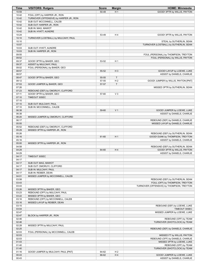| <b>Time</b>    | <b>VISITORS: Rutgers</b>                | <b>Score</b> | <b>Margin</b>  | <b>HOME: Minnesota</b>                    |
|----------------|-----------------------------------------|--------------|----------------|-------------------------------------------|
| 10:59          |                                         | 50-49        | H <sub>1</sub> | GOOD! 3PTR by WILLIS, PAYTON              |
| 10:42          | FOUL (OFF) by HARPER JR., RON           |              |                |                                           |
| 10:42          | TURNOVER (OFFENSIVE) by HARPER JR., RON |              |                |                                           |
| 10:42          | SUB OUT: MCCONNELL, CALEB               |              |                |                                           |
| 10:42          | SUB OUT: HARPER JR., RON                |              |                |                                           |
| 10:42          | SUB IN: MAG, MAWOT                      |              |                |                                           |
| 10:42          | SUB IN: HYATT, AUNDRE                   |              |                |                                           |
| 10:24          |                                         | 53-49        | H 4            | GOOD! 3PTR by WILLIS, PAYTON              |
| 10:10          | TURNOVER (LOSTBALL) by MULCAHY, PAUL    |              |                |                                           |
| 10:10<br>10:07 |                                         |              |                | STEAL by SUTHERLIN, SEAN                  |
| 10:03          | SUB OUT: HYATT, AUNDRE                  |              |                | TURNOVER (LOSTBALL) by SUTHERLIN, SEAN    |
| 10:03          | SUB IN: HARPER JR., RON                 |              |                |                                           |
| 09:55          |                                         |              |                | FOUL (PERSONAL) by THOMPSON, TREYTON      |
| 09:52          |                                         |              |                | FOUL (PERSONAL) by WILLIS, PAYTON         |
| 09:37          | GOOD! 3PTR by BAKER, GEO                | 53-52        | H <sub>1</sub> |                                           |
| 09:37          | ASSIST by MULCAHY, PAUL                 |              |                |                                           |
| 09:02          | FOUL (PERSONAL) by BAKER, GEO           |              |                |                                           |
| 08:57          |                                         | 55-52        | $H_3$          | GOOD! LAYUP by LOEWE, LUKE                |
| 08:57          |                                         |              |                | ASSIST by DANIELS, CHARLIE                |
| 08:47          | GOOD! 3PTR by BAKER, GEO                | 55-55        | $\mathsf{T}$   |                                           |
| 08:12          |                                         | 57-55        | H <sub>2</sub> | GOOD! JUMPER by WILLIS, PAYTON [PNT]      |
| 07:53          | GOOD! JUMPER by BAKER, GEO              | 57-57        | T              |                                           |
| 07:26          |                                         |              |                | MISSED 3PTR by SUTHERLIN, SEAN            |
| 07:23          | REBOUND (DEF) by OMORUYI, CLIFFORD      |              |                |                                           |
| 07:11          | GOOD! 3PTR by BAKER, GEO                | 57-60        | $V_3$          |                                           |
| 07:10          | TIMEOUT 30SEC                           |              |                |                                           |
| 07:10          |                                         |              |                |                                           |
| 07:10          | SUB OUT: MULCAHY, PAUL                  |              |                |                                           |
| 07:10          | SUB IN: MCCONNELL, CALEB                |              |                |                                           |
| 06:38          |                                         | 59-60        | V <sub>1</sub> | GOOD! JUMPER by LOEWE, LUKE               |
| 06:38          |                                         |              |                | ASSIST by DANIELS, CHARLIE                |
| 06:20          | MISSED JUMPER by OMORUYI, CLIFFORD      |              |                |                                           |
| 06:17          |                                         |              |                | REBOUND (DEF) by DANIELS, CHARLIE         |
| 05:55          |                                         |              |                | MISSED LAYUP by DANIELS, CHARLIE          |
| 05:52          | REBOUND (DEF) by OMORUYI, CLIFFORD      |              |                |                                           |
| 05:29          | MISSED 3PTR by HARPER JR., RON          |              |                |                                           |
| 05:26          |                                         |              |                | REBOUND (DEF) by SUTHERLIN, SEAN          |
| 05:16          |                                         | 61-60        | H <sub>1</sub> | GOOD! DUNK by THOMPSON, TREYTON           |
| 05:16          |                                         |              |                | ASSIST by DANIELS, CHARLIE                |
| 05:00          | MISSED 3PTR by HARPER JR., RON          |              |                |                                           |
| 04:58          |                                         |              |                | REBOUND (DEF) by SUTHERLIN, SEAN          |
| 04:29          |                                         | 64-60        | H4             | GOOD! 3PTR by WILLIS, PAYTON              |
| 04:29          |                                         |              |                | ASSIST by DANIELS, CHARLIE                |
| 04:17          | TIMEOUT 30SEC                           |              |                |                                           |
| 04:17          |                                         |              |                |                                           |
| 04:17          | SUB OUT: MAG, MAWOT                     |              |                |                                           |
| 04:17          | SUB OUT: OMORUYI, CLIFFORD              |              |                |                                           |
| 04:17          | SUB IN: MULCAHY, PAUL                   |              |                |                                           |
| 04:17<br>04:01 | SUB IN: REIBER, DEAN                    |              |                |                                           |
| 03:58          | MISSED JUMPER by MCCONNELL, CALEB       |              |                | REBOUND (DEF) by SUTHERLIN, SEAN          |
| 03:43          |                                         |              |                | FOUL (OFF) by THOMPSON, TREYTON           |
| 03:43          |                                         |              |                | TURNOVER (OFFENSIVE) by THOMPSON, TREYTON |
| 03:26          | MISSED 3PTR by BAKER, GEO               |              |                |                                           |
| 03:23          | REBOUND (OFF) by MULCAHY, PAUL          |              |                |                                           |
| 03:22          | MISSED 3PTR by BAKER, GEO               |              |                |                                           |
| 03:16          | REBOUND (OFF) by MCCONNELL, CALEB       |              |                |                                           |
| 03:16          | MISSED LAYUP by REIBER, DEAN            |              |                |                                           |
| 03:15          |                                         |              |                | REBOUND (DEF) by LOEWE, LUKE              |
| 03:04          |                                         |              |                | TIMEOUT 30SEC                             |
| 02:47          |                                         |              |                | MISSED JUMPER by LOEWE, LUKE              |
| 02:47          | BLOCK by HARPER JR., RON                |              |                |                                           |
| 02:46          |                                         |              |                | REBOUND (OFF) by TEAM                     |
| 02:46          |                                         |              |                | TURNOVER (SHOTCLOCK) by TEAM              |
| 02:28          | MISSED 3PTR by MULCAHY, PAUL            |              |                |                                           |
| 02:25          |                                         |              |                | REBOUND (DEF) by DANIELS, CHARLIE         |
| 02:03          | FOUL (PERSONAL) by MCCONNELL, CALEB     |              |                |                                           |
| 02:03          |                                         |              |                | MISSED FT by WILLIS, PAYTON               |
| 02:03          |                                         |              |                | REBOUND (OFF) by DANIELS, CHARLIE         |
| 01:43          |                                         |              |                | MISSED 3PTR by LOEWE, LUKE                |
| 01:40          |                                         |              |                | REBOUND (OFF) by TEAM                     |
| 01:40          |                                         |              |                | TURNOVER (SHOTCLOCK) by TEAM              |
| 01:16          | GOOD! JUMPER by MULCAHY, PAUL [PNT]     | 64-62        | H <sub>2</sub> |                                           |
| 00:43          |                                         | 66-62        | H4             | GOOD! JUMPER by LOEWE, LUKE               |
| 00:43          |                                         |              |                | ASSIST by DANIELS, CHARLIE                |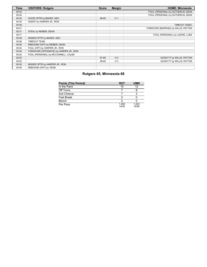| <b>Time</b> | <b>VISITORS: Rutgers</b>                | <b>Score</b> | <b>Margin</b>  | <b>HOME: Minnesota</b>               |
|-------------|-----------------------------------------|--------------|----------------|--------------------------------------|
| 00:42       |                                         |              |                | FOUL (PERSONAL) by SUTHERLIN, SEAN   |
| 00:40       |                                         |              |                | FOUL (PERSONAL) by SUTHERLIN, SEAN   |
| 00:35       | GOOD! 3PTR by BAKER, GEO                | 66-65        | H <sub>1</sub> |                                      |
| 00:35       | ASSIST by HARPER JR., RON               |              |                |                                      |
| 00:28       |                                         |              |                | TIMEOUT 30SEC                        |
| 00:21       |                                         |              |                | TURNOVER (BADPASS) by WILLIS, PAYTON |
| 00:21       | STEAL by REIBER, DEAN                   |              |                |                                      |
| 00:11       |                                         |              |                | FOUL (PERSONAL) by LOEWE, LUKE       |
| 00:09       | MISSED 3PTR by BAKER, GEO               |              |                |                                      |
| 00:06       | <b>TIMEOUT TEAM</b>                     |              |                |                                      |
| 00:05       | REBOUND (OFF) by REIBER, DEAN           |              |                |                                      |
| 00:04       | FOUL (OFF) by HARPER JR., RON           |              |                |                                      |
| 00:04       | TURNOVER (OFFENSIVE) by HARPER JR., RON |              |                |                                      |
| 00:02       | FOUL (PERSONAL) by MCCONNELL, CALEB     |              |                |                                      |
| 00:02       |                                         | 67-65        | H <sub>2</sub> | GOOD! FT by WILLIS, PAYTON           |
| 00:02       |                                         | 68-65        | H <sub>3</sub> | GOOD! FT by WILLIS, PAYTON           |
| 00:00       | MISSED 3PTR by HARPER JR., RON          |              |                |                                      |
| 00:00       | REBOUND (OFF) by TEAM                   |              |                |                                      |

# **Rutgers 65, Minnesota 68**

| <b>Points (This Period)</b> | <b>RUT</b>     | <b>UMN</b>     |
|-----------------------------|----------------|----------------|
| In the Paint                | 10             | 12             |
| Off Turns                   |                |                |
| 2nd Chance                  |                |                |
| Fast Break                  |                |                |
| Bench                       |                |                |
| Per Poss                    | 1.400<br>14/25 | 1.423<br>16/26 |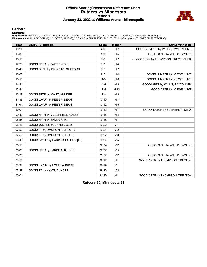# **Official Scoring/Possession Reference Chart Rutgers vs Minnesota Period 1 January 22, 2022 at Williams Arena - Minneapolis**



**Period 1**

#### **Starters:**

**Rutgers**: 0 BAKER,GEO (G); 4 MULCAHY,PAUL (G); 11 OMORUYI,CLIFFORD (C); 22 MCCONNELL,CALEB (G); 24 HARPER JR.,RON (G);<br>**Minnesota**: 0 WILLIS,PAYTON (G); 12 LOEWE,LUKE (G); 15 DANIELS,CHARLIE (F); 24 SUTHERLIN,SEAN (G); 42

| <b>Time</b> | <b>VISITORS: Rutgers</b>            | <b>Score</b> | <b>Margin</b>  | <b>HOME: Minnesota</b>               |
|-------------|-------------------------------------|--------------|----------------|--------------------------------------|
| 19:24       |                                     | $2 - 0$      | H <sub>2</sub> | GOOD! JUMPER by WILLIS, PAYTON [PNT] |
| 18:36       |                                     | $5-0$        | H <sub>5</sub> | GOOD! 3PTR by WILLIS, PAYTON         |
| 18:10       |                                     | $7-0$        | H <sub>7</sub> | GOOD! DUNK by THOMPSON, TREYTON [FB] |
| 17:28       | GOOD! 3PTR by BAKER, GEO            | $7-3$        | H <sub>4</sub> |                                      |
| 16:43       | GOOD! DUNK by OMORUYI, CLIFFORD     | $7-5$        | H <sub>2</sub> |                                      |
| 16:02       |                                     | $9-5$        | H4             | GOOD! JUMPER by LOEWE, LUKE          |
| 15:18       |                                     | $11 - 5$     | H <sub>6</sub> | GOOD! JUMPER by LOEWE, LUKE          |
| 14:31       |                                     | $14-5$       | H9             | GOOD! 3PTR by WILLIS, PAYTON [FB]    |
| 13:41       |                                     | $17-5$       | H 12           | GOOD! 3PTR by LOEWE, LUKE            |
| 13:18       | GOOD! 3PTR by HYATT, AUNDRE         | $17 - 8$     | H9             |                                      |
| 11:38       | GOOD! LAYUP by REIBER, DEAN         | $17-10$      | H 7            |                                      |
| 11:04       | GOOD! LAYUP by REIBER, DEAN         | $17 - 12$    | H <sub>5</sub> |                                      |
| 10:01       |                                     | 19-12        | H <sub>7</sub> | GOOD! LAYUP by SUTHERLIN, SEAN       |
| 09:40       | GOOD! 3PTR by MCCONNELL, CALEB      | 19-15        | H <sub>4</sub> |                                      |
| 08:55       | GOOD! 3PTR by BAKER, GEO            | 19-18        | H <sub>1</sub> |                                      |
| 08:15       | GOOD! JUMPER by BAKER, GEO          | 19-20        | V <sub>1</sub> |                                      |
| 07:53       | GOOD! FT by OMORUYI, CLIFFORD       | 19-21        | V <sub>2</sub> |                                      |
| 07:53       | GOOD! FT by OMORUYI, CLIFFORD       | 19-22        | V <sub>3</sub> |                                      |
| 06:48       | GOOD! LAYUP by HARPER JR., RON [FB] | 19-24        | V <sub>5</sub> |                                      |
| 06:19       |                                     | $22 - 24$    | V <sub>2</sub> | GOOD! 3PTR by WILLIS, PAYTON         |
| 06:00       | GOOD! 3PTR by HARPER JR., RON       | 22-27        | V <sub>5</sub> |                                      |
| 05:30       |                                     | $25 - 27$    | V <sub>2</sub> | GOOD! 3PTR by WILLIS, PAYTON         |
| 03:56       |                                     | 28-27        | H <sub>1</sub> | GOOD! 3PTR by THOMPSON, TREYTON      |
| 02:38       | GOOD! LAYUP by HYATT, AUNDRE        | 28-29        | V <sub>1</sub> |                                      |
| 02:38       | GOOD! FT by HYATT, AUNDRE           | 28-30        | V <sub>2</sub> |                                      |
| 00:01       |                                     | $31 - 30$    | H <sub>1</sub> | GOOD! 3PTR by THOMPSON, TREYTON      |

**Rutgers 30, Minnesota 31**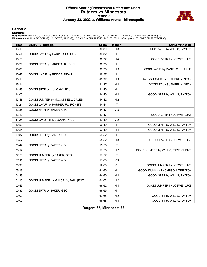# **Official Scoring/Possession Reference Chart Rutgers vs Minnesota Period 2 January 22, 2022 at Williams Arena - Minneapolis**



# **Period 2**

#### **Starters:**

**Rutgers**: 0 BAKER,GEO (G); 4 MULCAHY,PAUL (G); 11 OMORUYI,CLIFFORD (C); 22 MCCONNELL,CALEB (G); 24 HARPER JR.,RON (G);<br>**Minnesota**: 0 WILLIS,PAYTON (G); 12 LOEWE,LUKE (G); 15 DANIELS,CHARLIE (F); 24 SUTHERLIN,SEAN (G); 42

| <b>Time</b> | <b>VISITORS: Rutgers</b>            | <b>Score</b> | <b>Margin</b>  | <b>HOME: Minnesota</b>               |
|-------------|-------------------------------------|--------------|----------------|--------------------------------------|
| 18:16       |                                     | 33-30        | $H_3$          | GOOD! LAYUP by WILLIS, PAYTON        |
| 17:54       | GOOD! LAYUP by HARPER JR., RON      | 33-32        | H <sub>1</sub> |                                      |
| 16:58       |                                     | 36-32        | H <sub>4</sub> | GOOD! 3PTR by LOEWE, LUKE            |
| 16:29       | GOOD! 3PTR by HARPER JR., RON       | 36-35        | H <sub>1</sub> |                                      |
| 16:05       |                                     | 38-35        | $H_3$          | GOOD! LAYUP by DANIELS, CHARLIE      |
| 15:42       | GOOD! LAYUP by REIBER, DEAN         | 38-37        | H <sub>1</sub> |                                      |
| 15:14       |                                     | 40-37        | $H_3$          | GOOD! LAYUP by SUTHERLIN, SEAN       |
| 15:14       |                                     | 41-37        | H 4            | GOOD! FT by SUTHERLIN, SEAN          |
| 14:43       | GOOD! 3PTR by MULCAHY, PAUL         | 41-40        | H <sub>1</sub> |                                      |
| 14:00       |                                     | 44-40        | H <sub>4</sub> | GOOD! 3PTR by WILLIS, PAYTON         |
| 13:48       | GOOD! JUMPER by MCCONNELL, CALEB    | 44-42        | H <sub>2</sub> |                                      |
| 13:24       | GOOD! LAYUP by HARPER JR., RON [FB] | 44-44        | $\mathsf{T}$   |                                      |
| 12:35       | GOOD! 3PTR by BAKER, GEO            | 44-47        | $V_3$          |                                      |
| 12:10       |                                     | 47-47        | $\top$         | GOOD! 3PTR by LOEWE, LUKE            |
| 11:25       | GOOD! LAYUP by MULCAHY, PAUL        | 47-49        | V <sub>2</sub> |                                      |
| 10:59       |                                     | 50-49        | H <sub>1</sub> | GOOD! 3PTR by WILLIS, PAYTON         |
| 10:24       |                                     | 53-49        | H <sub>4</sub> | GOOD! 3PTR by WILLIS, PAYTON         |
| 09:37       | GOOD! 3PTR by BAKER, GEO            | 53-52        | H <sub>1</sub> |                                      |
| 08:57       |                                     | 55-52        | $H_3$          | GOOD! LAYUP by LOEWE, LUKE           |
| 08:47       | GOOD! 3PTR by BAKER, GEO            | 55-55        | $\mathsf{T}$   |                                      |
| 08:12       |                                     | 57-55        | H <sub>2</sub> | GOOD! JUMPER by WILLIS, PAYTON [PNT] |
| 07:53       | GOOD! JUMPER by BAKER, GEO          | 57-57        | T              |                                      |
| 07:11       | GOOD! 3PTR by BAKER, GEO            | 57-60        | $V_3$          |                                      |
| 06:38       |                                     | 59-60        | V <sub>1</sub> | GOOD! JUMPER by LOEWE, LUKE          |
| 05:16       |                                     | 61-60        | H <sub>1</sub> | GOOD! DUNK by THOMPSON, TREYTON      |
| 04:29       |                                     | 64-60        | H4             | GOOD! 3PTR by WILLIS, PAYTON         |
| 01:16       | GOOD! JUMPER by MULCAHY, PAUL [PNT] | 64-62        | H <sub>2</sub> |                                      |
| 00:43       |                                     | 66-62        | H <sub>4</sub> | GOOD! JUMPER by LOEWE, LUKE          |
| 00:35       | GOOD! 3PTR by BAKER, GEO            | 66-65        | H <sub>1</sub> |                                      |
| 00:02       |                                     | 67-65        | H <sub>2</sub> | GOOD! FT by WILLIS, PAYTON           |
| 00:02       |                                     | 68-65        | $H_3$          | GOOD! FT by WILLIS, PAYTON           |

**Rutgers 65, Minnesota 68**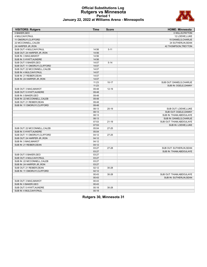# **Official Substitutions Log Rutgers vs Minnesota Period 1 January 22, 2022 at Williams Arena - Minneapolis**



| <b>VISITORS: Rutgers</b>      | <b>Time</b> | <b>Score</b> | <b>HOME: Minnesota</b>    |
|-------------------------------|-------------|--------------|---------------------------|
| 0 BAKER, GEO                  |             |              | 0 WILLIS, PAYTON          |
| 4 MULCAHY, PAUL               |             |              | 12 LOEWE, LUKE            |
| 11 OMORUYI, CLIFFORD          |             |              | 15 DANIELS, CHARLIE       |
| 22 MCCONNELL, CALEB           |             |              | 24 SUTHERLIN, SEAN        |
| 24 HARPER JR., RON            |             |              | 42 THOMPSON, TREYTON      |
| SUB OUT: 4 MULCAHY, PAUL      | 14:56       | $5 - 11$     |                           |
| SUB OUT: 24 HARPER JR., RON   | 14:56       |              |                           |
| SUB IN: 3 MAG, MAWOT          | 14:56       |              |                           |
| SUB IN: 5 HYATT, AUNDRE       | 14:56       |              |                           |
| SUB OUT: 0 BAKER, GEO         | 14:07       | $5 - 14$     |                           |
| SUB OUT: 11 OMORUYI, CLIFFORD | 14:07       |              |                           |
| SUB OUT: 22 MCCONNELL, CALEB  | 14:07       |              |                           |
| SUB IN: 4 MULCAHY, PAUL       | 14:07       |              |                           |
| SUB IN: 21 REIBER, DEAN       | 14:07       |              |                           |
| SUB IN: 24 HARPER JR., RON    | 14:07       |              |                           |
|                               | 11:23       | $10 - 17$    | SUB OUT: DANIELS, CHARLIE |
|                               | 11:23       |              | SUB IN: OGELE, DANNY      |
| SUB OUT: 3 MAG, MAWOT         | 09:48       | $12 - 19$    |                           |
| SUB OUT: 5 HYATT, AUNDRE      | 09:48       |              |                           |
| SUB IN: 0 BAKER, GEO          | 09:48       |              |                           |
| SUB IN: 22 MCCONNELL, CALEB   | 09:48       |              |                           |
| SUB OUT: 21 REIBER, DEAN      | 09:48       |              |                           |
| SUB IN: 11 OMORUYI, CLIFFORD  | 09:48       |              |                           |
|                               | 08:13       | $20-19$      | SUB OUT: LOEWE, LUKE      |
|                               | 08:13       |              | SUB OUT: OGELE, DANNY     |
|                               | 08:13       |              | SUB IN: THIAM, ABDOULAYE  |
|                               | 08:13       |              | SUB IN: DANIELS, CHARLIE  |
|                               | 07:53       | $21 - 19$    | SUB OUT: THIAM, ABDOULAYE |
|                               | 07:53       |              | SUB IN: LOEWE, LUKE       |
| SUB OUT: 22 MCCONNELL, CALEB  | 05:04       | $27 - 25$    |                           |
| SUB IN: 5 HYATT, AUNDRE       | 05:04       |              |                           |
| SUB OUT: 11 OMORUYI, CLIFFORD | 04:12       | $27 - 25$    |                           |
| SUB OUT: 24 HARPER JR., RON   | 04:12       |              |                           |
| SUB IN: 3 MAG, MAWOT          | 04:12       |              |                           |
| SUB IN: 21 REIBER, DEAN       | 04:12       |              |                           |
|                               | 03:27       | 27-28        | SUB OUT: SUTHERLIN, SEAN  |
|                               | 03:27       |              | SUB IN: THIAM, ABDOULAYE  |
| SUB OUT: 0 BAKER, GEO         | 03:27       |              |                           |
| SUB OUT: 4 MULCAHY, PAUL      | 03:27       |              |                           |
| SUB IN: 22 MCCONNELL, CALEB   | 03:27       |              |                           |
| SUB IN: 24 HARPER JR., RON    | 03:27       |              |                           |
| SUB OUT: 21 REIBER, DEAN      | 02:12       | 30-28        |                           |
| SUB IN: 11 OMORUYI, CLIFFORD  | 02:12       |              |                           |
|                               | 00:43       | 30-28        | SUB OUT: THIAM, ABDOULAYE |
|                               | 00:43       |              | SUB IN: SUTHERLIN, SEAN   |
| SUB OUT: 3 MAG, MAWOT         | 00:43       |              |                           |
| SUB IN: 0 BAKER, GEO          | 00:43       |              |                           |
| SUB OUT: 5 HYATT, AUNDRE      | 00:18       | $30 - 28$    |                           |
| SUB IN: 4 MULCAHY, PAUL       | 00:18       |              |                           |

**Rutgers 30, Minnesota 31**